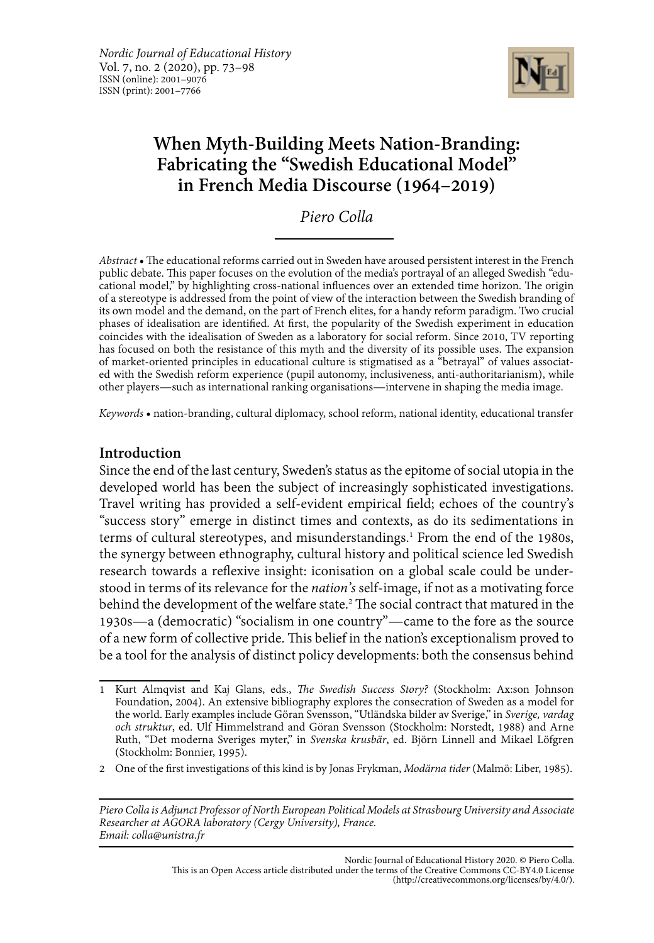

# **When Myth-Building Meets Nation-Branding: Fabricating the "Swedish Educational Model" in French Media Discourse (1964–2019)**

*Piero Colla*

*Abstract*• The educational reforms carried out in Sweden have aroused persistent interest in the French public debate. This paper focuses on the evolution of the media's portrayal of an alleged Swedish "educational model," by highlighting cross-national influences over an extended time horizon. The origin of a stereotype is addressed from the point of view of the interaction between the Swedish branding of its own model and the demand, on the part of French elites, for a handy reform paradigm. Two crucial phases of idealisation are identified. At first, the popularity of the Swedish experiment in education coincides with the idealisation of Sweden as a laboratory for social reform. Since 2010, TV reporting has focused on both the resistance of this myth and the diversity of its possible uses. The expansion of market-oriented principles in educational culture is stigmatised as a "betrayal" of values associated with the Swedish reform experience (pupil autonomy, inclusiveness, anti-authoritarianism), while other players—such as international ranking organisations—intervene in shaping the media image.

*Keywords* • nation-branding, cultural diplomacy, school reform, national identity, educational transfer

## **Introduction**

Since the end of the last century, Sweden's status as the epitome of social utopia in the developed world has been the subject of increasingly sophisticated investigations. Travel writing has provided a self-evident empirical field; echoes of the country's "success story" emerge in distinct times and contexts, as do its sedimentations in terms of cultural stereotypes, and misunderstandings.<sup>1</sup> From the end of the 1980s, the synergy between ethnography, cultural history and political science led Swedish research towards a reflexive insight: iconisation on a global scale could be understood in terms of its relevance for the *nation's* self-image, if not as a motivating force behind the development of the welfare state.<sup>2</sup> The social contract that matured in the 1930s—a (democratic) "socialism in one country"—came to the fore as the source of a new form of collective pride. This belief in the nation's exceptionalism proved to be a tool for the analysis of distinct policy developments: both the consensus behind

<sup>1</sup> Kurt Almqvist and Kaj Glans, eds., *The Swedish Success Story?* (Stockholm: Ax:son Johnson Foundation, 2004). An extensive bibliography explores the consecration of Sweden as a model for the world. Early examples include Göran Svensson, "Utländska bilder av Sverige," in *Sverige, vardag och struktur*, ed. Ulf Himmelstrand and Göran Svensson (Stockholm: Norstedt, 1988) and Arne Ruth, "Det moderna Sveriges myter," in *Svenska krusbär*, ed. Björn Linnell and Mikael Löfgren (Stockholm: Bonnier, 1995).

<sup>2</sup> One of the first investigations of this kind is by Jonas Frykman, *Modärna tider* (Malmö: Liber, 1985).

*Piero Colla is Adjunct Professor of North European Political Models at Strasbourg University and Associate Researcher at AGORA laboratory (Cergy University), France. Email: colla@unistra.fr*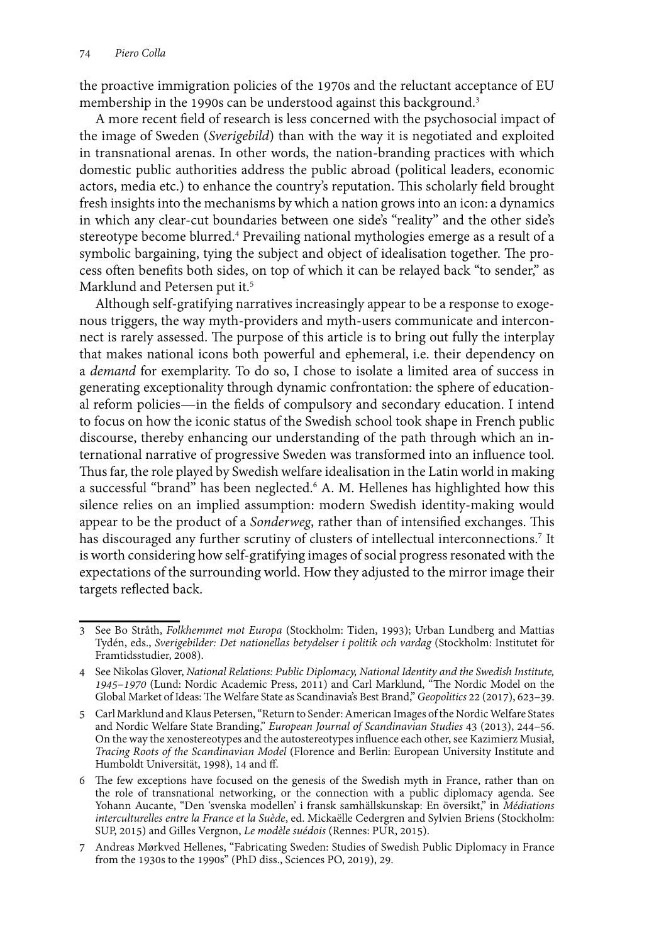the proactive immigration policies of the 1970s and the reluctant acceptance of EU membership in the 1990s can be understood against this background.3

A more recent field of research is less concerned with the psychosocial impact of the image of Sweden (*Sverigebild*) than with the way it is negotiated and exploited in transnational arenas. In other words, the nation-branding practices with which domestic public authorities address the public abroad (political leaders, economic actors, media etc.) to enhance the country's reputation. This scholarly field brought fresh insights into the mechanisms by which a nation grows into an icon: a dynamics in which any clear-cut boundaries between one side's "reality" and the other side's stereotype become blurred.4 Prevailing national mythologies emerge as a result of a symbolic bargaining, tying the subject and object of idealisation together. The process often benefits both sides, on top of which it can be relayed back "to sender," as Marklund and Petersen put it.<sup>5</sup>

Although self-gratifying narratives increasingly appear to be a response to exogenous triggers, the way myth-providers and myth-users communicate and interconnect is rarely assessed. The purpose of this article is to bring out fully the interplay that makes national icons both powerful and ephemeral, i.e. their dependency on a *demand* for exemplarity. To do so, I chose to isolate a limited area of success in generating exceptionality through dynamic confrontation: the sphere of educational reform policies—in the fields of compulsory and secondary education. I intend to focus on how the iconic status of the Swedish school took shape in French public discourse, thereby enhancing our understanding of the path through which an international narrative of progressive Sweden was transformed into an influence tool. Thus far, the role played by Swedish welfare idealisation in the Latin world in making a successful "brand" has been neglected.<sup>6</sup> A. M. Hellenes has highlighted how this silence relies on an implied assumption: modern Swedish identity-making would appear to be the product of a *Sonderweg*, rather than of intensified exchanges. This has discouraged any further scrutiny of clusters of intellectual interconnections.<sup>7</sup> It is worth considering how self-gratifying images of social progress resonated with the expectations of the surrounding world. How they adjusted to the mirror image their targets reflected back.

<sup>3</sup> See Bo Stråth, *Folkhemmet mot Europa* (Stockholm: Tiden, 1993); Urban Lundberg and Mattias Tydén, eds., *Sverigebilder: Det nationellas betydelser i politik och vardag* (Stockholm: Institutet för Framtidsstudier, 2008).

<sup>4</sup> See Nikolas Glover, *National Relations: Public Diplomacy, National Identity and the Swedish Institute, 1945*–*1970* (Lund: Nordic Academic Press, 2011) and Carl Marklund, "The Nordic Model on the Global Market of Ideas: The Welfare State as Scandinavia's Best Brand," *Geopolitics* 22 (2017), 623–39.

<sup>5</sup> Carl Marklund and Klaus Petersen, "Return to Sender: American Images of the Nordic Welfare States and Nordic Welfare State Branding," *European Journal of Scandinavian Studies* 43 (2013), 244*–*56. On the way the xenostereotypes and the autostereotypes influence each other, see Kazimierz Musiał, *Tracing Roots of the Scandinavian Model* (Florence and Berlin: European University Institute and Humboldt Universität, 1998), 14 and ff.

<sup>6</sup> The few exceptions have focused on the genesis of the Swedish myth in France, rather than on the role of transnational networking, or the connection with a public diplomacy agenda. See Yohann Aucante, "Den 'svenska modellen' i fransk samhällskunskap: En översikt," in *Médiations interculturelles entre la France et la Suède*, ed. Mickaëlle Cedergren and Sylvien Briens (Stockholm: SUP, 2015) and Gilles Vergnon, *Le modèle suédois* (Rennes: PUR, 2015).

<sup>7</sup> Andreas Mørkved Hellenes, "Fabricating Sweden: Studies of Swedish Public Diplomacy in France from the 1930s to the 1990s" (PhD diss., Sciences PO, 2019), 29.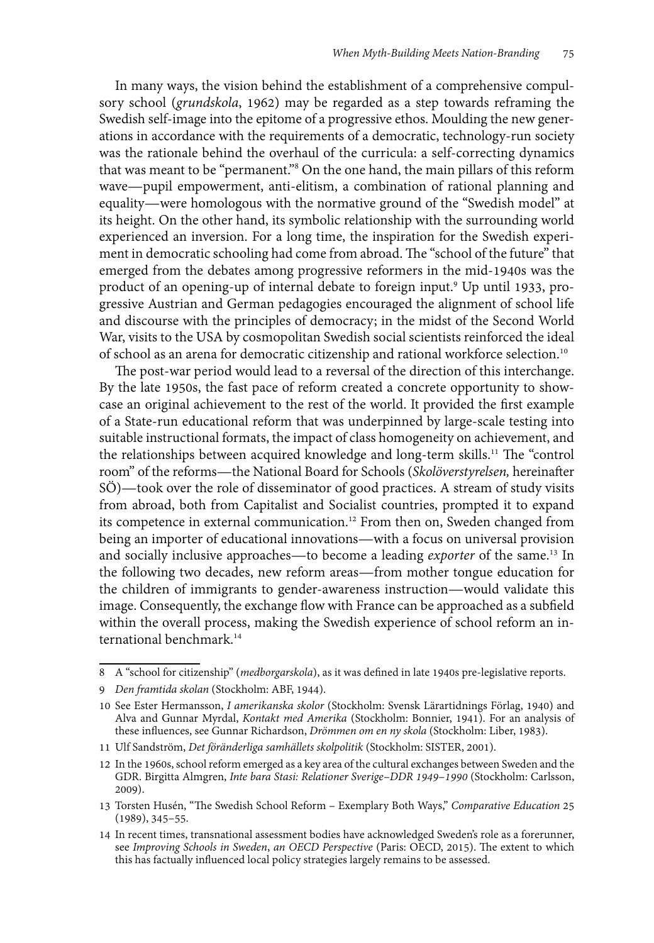In many ways, the vision behind the establishment of a comprehensive compulsory school (*grundskola*, 1962) may be regarded as a step towards reframing the Swedish self-image into the epitome of a progressive ethos. Moulding the new generations in accordance with the requirements of a democratic, technology-run society was the rationale behind the overhaul of the curricula: a self-correcting dynamics that was meant to be "permanent."8 On the one hand, the main pillars of this reform wave—pupil empowerment, anti-elitism, a combination of rational planning and equality—were homologous with the normative ground of the "Swedish model" at its height. On the other hand, its symbolic relationship with the surrounding world experienced an inversion. For a long time, the inspiration for the Swedish experiment in democratic schooling had come from abroad. The "school of the future" that emerged from the debates among progressive reformers in the mid-1940s was the product of an opening-up of internal debate to foreign input.9 Up until 1933, progressive Austrian and German pedagogies encouraged the alignment of school life and discourse with the principles of democracy; in the midst of the Second World War, visits to the USA by cosmopolitan Swedish social scientists reinforced the ideal of school as an arena for democratic citizenship and rational workforce selection.10

The post-war period would lead to a reversal of the direction of this interchange. By the late 1950s, the fast pace of reform created a concrete opportunity to showcase an original achievement to the rest of the world. It provided the first example of a State-run educational reform that was underpinned by large-scale testing into suitable instructional formats, the impact of class homogeneity on achievement, and the relationships between acquired knowledge and long-term skills.<sup>11</sup> The "control room" of the reforms—the National Board for Schools (*Skolöverstyrelsen,* hereinafter SÖ)—took over the role of disseminator of good practices. A stream of study visits from abroad, both from Capitalist and Socialist countries, prompted it to expand its competence in external communication.12 From then on, Sweden changed from being an importer of educational innovations—with a focus on universal provision and socially inclusive approaches—to become a leading *exporter* of the same.<sup>13</sup> In the following two decades, new reform areas—from mother tongue education for the children of immigrants to gender-awareness instruction—would validate this image. Consequently, the exchange flow with France can be approached as a subfield within the overall process, making the Swedish experience of school reform an international benchmark.<sup>14</sup>

<sup>8</sup> A "school for citizenship" (*medborgarskola*), as it was defined in late 1940s pre-legislative reports.

<sup>9</sup> *Den framtida skolan* (Stockholm: ABF, 1944).

<sup>10</sup> See Ester Hermansson, *I amerikanska skolor* (Stockholm: Svensk Lärartidnings Förlag, 1940) and Alva and Gunnar Myrdal, *Kontakt med Amerika* (Stockholm: Bonnier, 1941). For an analysis of these influences, see Gunnar Richardson, *Drömmen om en ny skola* (Stockholm: Liber, 1983).

<sup>11</sup> Ulf Sandström, *Det föränderliga samhällets skolpolitik* (Stockholm: SISTER, 2001).

<sup>12</sup> In the 1960s, school reform emerged as a key area of the cultural exchanges between Sweden and the GDR. Birgitta Almgren, *Inte bara Stasi: Relationer Sverige–DDR 1949*–*1990* (Stockholm: Carlsson, 2009).

<sup>13</sup> Torsten Husén, "The Swedish School Reform – Exemplary Both Ways," *Comparative Education* 25 (1989), 345–55.

<sup>14</sup> In recent times, transnational assessment bodies have acknowledged Sweden's role as a forerunner, see *Improving Schools in Sweden*, *an OECD Perspective* (Paris: OECD, 2015). The extent to which this has factually influenced local policy strategies largely remains to be assessed.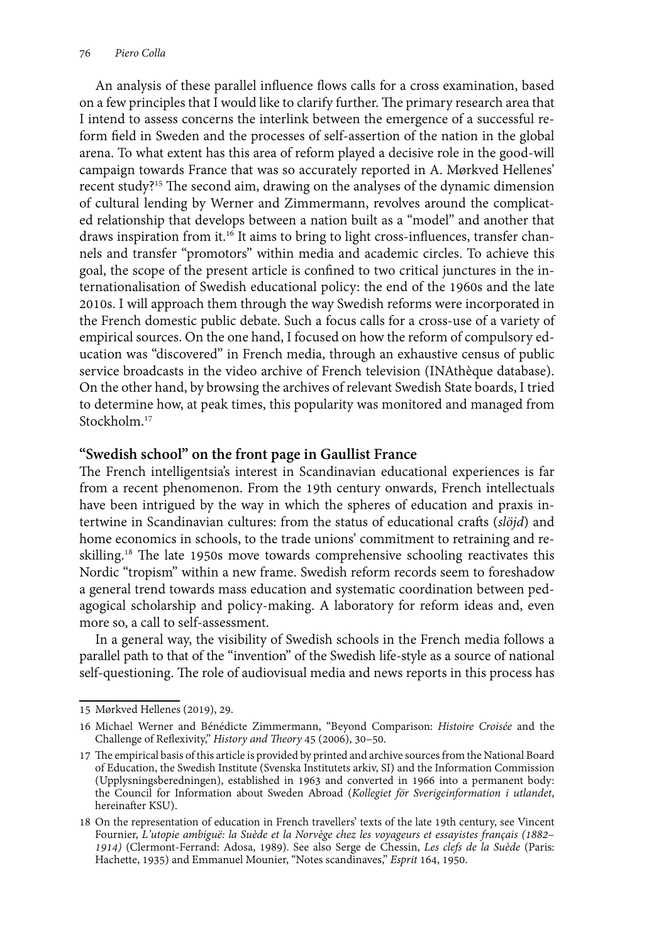An analysis of these parallel influence flows calls for a cross examination, based on a few principles that I would like to clarify further. The primary research area that I intend to assess concerns the interlink between the emergence of a successful reform field in Sweden and the processes of self-assertion of the nation in the global arena. To what extent has this area of reform played a decisive role in the good-will campaign towards France that was so accurately reported in A. Mørkved Hellenes' recent study?15 The second aim, drawing on the analyses of the dynamic dimension of cultural lending by Werner and Zimmermann, revolves around the complicated relationship that develops between a nation built as a "model" and another that draws inspiration from it.<sup>16</sup> It aims to bring to light cross-influences, transfer channels and transfer "promotors" within media and academic circles. To achieve this goal, the scope of the present article is confined to two critical junctures in the internationalisation of Swedish educational policy: the end of the 1960s and the late 2010s. I will approach them through the way Swedish reforms were incorporated in the French domestic public debate. Such a focus calls for a cross-use of a variety of empirical sources. On the one hand, I focused on how the reform of compulsory education was "discovered" in French media, through an exhaustive census of public service broadcasts in the video archive of French television (INAthèque database). On the other hand, by browsing the archives of relevant Swedish State boards, I tried to determine how, at peak times, this popularity was monitored and managed from Stockholm<sup>17</sup>

### **"Swedish school" on the front page in Gaullist France**

The French intelligentsia's interest in Scandinavian educational experiences is far from a recent phenomenon. From the 19th century onwards, French intellectuals have been intrigued by the way in which the spheres of education and praxis intertwine in Scandinavian cultures: from the status of educational crafts (*slöjd*) and home economics in schools, to the trade unions' commitment to retraining and reskilling.18 The late 1950s move towards comprehensive schooling reactivates this Nordic "tropism" within a new frame. Swedish reform records seem to foreshadow a general trend towards mass education and systematic coordination between pedagogical scholarship and policy-making. A laboratory for reform ideas and, even more so, a call to self-assessment.

In a general way, the visibility of Swedish schools in the French media follows a parallel path to that of the "invention" of the Swedish life-style as a source of national self-questioning. The role of audiovisual media and news reports in this process has

<sup>15</sup> Mørkved Hellenes (2019), 29.

<sup>16</sup> Michael Werner and Bénédicte Zimmermann, "Beyond Comparison: *Histoire Croisée* and the Challenge of Reflexivity," *History and Theory* 45 (2006), 30–50.

<sup>17</sup> The empirical basis of this article is provided by printed and archive sources from the National Board of Education, the Swedish Institute (Svenska Institutets arkiv, SI) and the Information Commission (Upplysningsberedningen), established in 1963 and converted in 1966 into a permanent body: the Council for Information about Sweden Abroad (*Kollegiet för Sverigeinformation i utlandet*, hereinafter KSU).

<sup>18</sup> On the representation of education in French travellers' texts of the late 19th century, see Vincent Fournier, L'utopie ambiguë: la Suède et la Norvège chez les voyageurs et essayistes français (1882– Fournier, *L'utopie ambiguë: la Suède et la Norvège chez les voyageurs et essayistes français (1882*– *1914)* (Clermont-Ferrand: Adosa, 1989). See also Serge de Chessin, *Les clefs de la Suède* (Paris: Hachette, 1935) and Emmanuel Mounier, "Notes scandinaves," *Esprit* 164, 1950.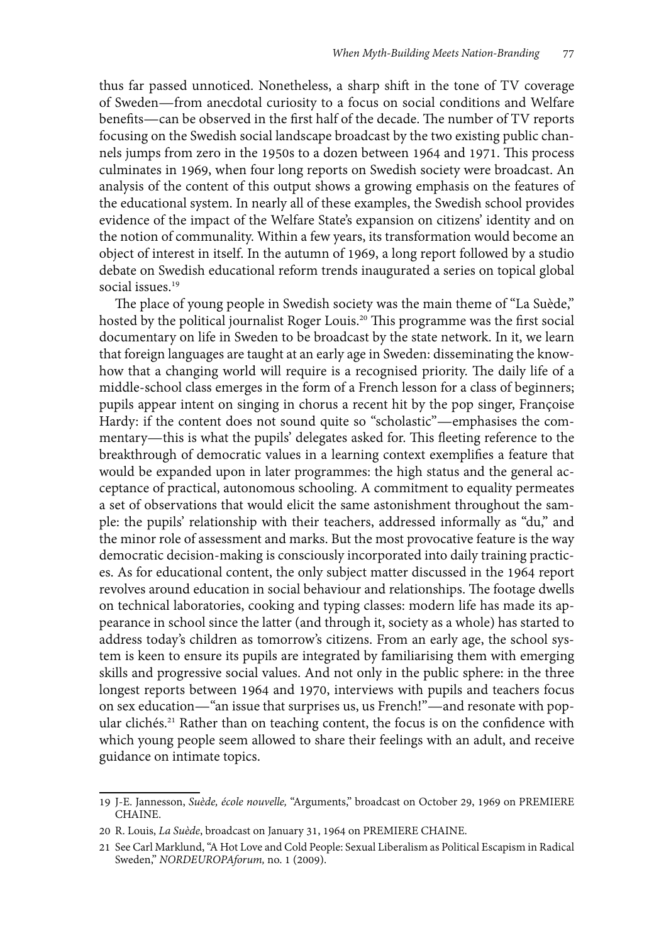thus far passed unnoticed. Nonetheless, a sharp shift in the tone of TV coverage of Sweden—from anecdotal curiosity to a focus on social conditions and Welfare benefits—can be observed in the first half of the decade. The number of TV reports focusing on the Swedish social landscape broadcast by the two existing public channels jumps from zero in the 1950s to a dozen between 1964 and 1971. This process culminates in 1969, when four long reports on Swedish society were broadcast. An analysis of the content of this output shows a growing emphasis on the features of the educational system. In nearly all of these examples, the Swedish school provides evidence of the impact of the Welfare State's expansion on citizens' identity and on the notion of communality. Within a few years, its transformation would become an object of interest in itself. In the autumn of 1969, a long report followed by a studio debate on Swedish educational reform trends inaugurated a series on topical global social issues<sup>19</sup>

The place of young people in Swedish society was the main theme of "La Suède," hosted by the political journalist Roger Louis.20 This programme was the first social documentary on life in Sweden to be broadcast by the state network. In it, we learn that foreign languages are taught at an early age in Sweden: disseminating the knowhow that a changing world will require is a recognised priority. The daily life of a middle-school class emerges in the form of a French lesson for a class of beginners; pupils appear intent on singing in chorus a recent hit by the pop singer, Françoise Hardy: if the content does not sound quite so "scholastic"—emphasises the commentary—this is what the pupils' delegates asked for. This fleeting reference to the breakthrough of democratic values in a learning context exemplifies a feature that would be expanded upon in later programmes: the high status and the general acceptance of practical, autonomous schooling. A commitment to equality permeates a set of observations that would elicit the same astonishment throughout the sample: the pupils' relationship with their teachers, addressed informally as "du," and the minor role of assessment and marks. But the most provocative feature is the way democratic decision-making is consciously incorporated into daily training practices. As for educational content, the only subject matter discussed in the 1964 report revolves around education in social behaviour and relationships. The footage dwells on technical laboratories, cooking and typing classes: modern life has made its appearance in school since the latter (and through it, society as a whole) has started to address today's children as tomorrow's citizens. From an early age, the school system is keen to ensure its pupils are integrated by familiarising them with emerging skills and progressive social values. And not only in the public sphere: in the three longest reports between 1964 and 1970, interviews with pupils and teachers focus on sex education—"an issue that surprises us, us French!"—and resonate with popular clichés.<sup>21</sup> Rather than on teaching content, the focus is on the confidence with which young people seem allowed to share their feelings with an adult, and receive guidance on intimate topics.

<sup>19</sup> J-E. Jannesson, *Suède, école nouvelle,* "Arguments," broadcast on October 29, 1969 on PREMIERE CHAINE.

<sup>20</sup> R. Louis, *La Suède*, broadcast on January 31, 1964 on PREMIERE CHAINE.

<sup>21</sup> See Carl Marklund, "A Hot Love and Cold People: Sexual Liberalism as Political Escapism in Radical Sweden," *NORDEUROPAforum,* no. 1 (2009).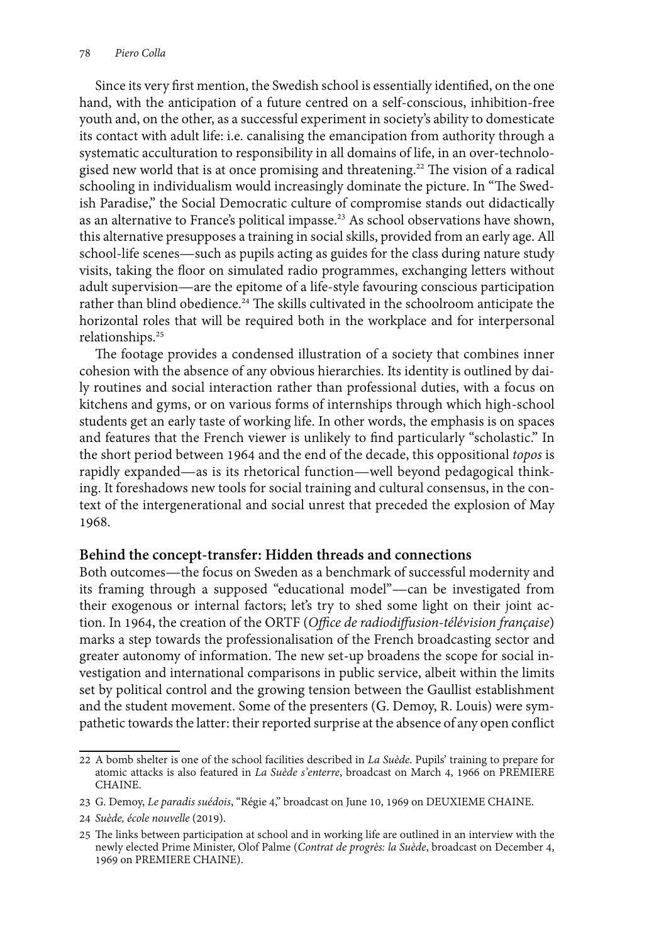Since its very first mention, the Swedish school is essentially identified, on the one hand, with the anticipation of a future centred on a self-conscious, inhibition-free youth and, on the other, as a successful experiment in society's ability to domesticate its contact with adult life: i.e. canalising the emancipation from authority through a systematic acculturation to responsibility in all domains of life, in an over-technologised new world that is at once promising and threatening.<sup>22</sup> The vision of a radical schooling in individualism would increasingly dominate the picture. In "The Swedish Paradise," the Social Democratic culture of compromise stands out didactically as an alternative to France's political impasse.<sup>23</sup> As school observations have shown, this alternative presupposes a training in social skills, provided from an early age. All school-life scenes—such as pupils acting as guides for the class during nature study visits, taking the floor on simulated radio programmes, exchanging letters without adult supervision—are the epitome of a life-style favouring conscious participation rather than blind obedience.<sup>24</sup> The skills cultivated in the schoolroom anticipate the horizontal roles that will be required both in the workplace and for interpersonal relationships.25

The footage provides a condensed illustration of a society that combines inner cohesion with the absence of any obvious hierarchies. Its identity is outlined by daily routines and social interaction rather than professional duties, with a focus on kitchens and gyms, or on various forms of internships through which high-school students get an early taste of working life. In other words, the emphasis is on spaces and features that the French viewer is unlikely to find particularly "scholastic." In the short period between 1964 and the end of the decade, this oppositional *topos* is rapidly expanded—as is its rhetorical function—well beyond pedagogical thinking. It foreshadows new tools for social training and cultural consensus, in the context of the intergenerational and social unrest that preceded the explosion of May 1968.

#### **Behind the concept-transfer: Hidden threads and connections**

Both outcomes—the focus on Sweden as a benchmark of successful modernity and its framing through a supposed "educational model"—can be investigated from their exogenous or internal factors; let's try to shed some light on their joint action. In 1964, the creation of the ORTF (*Office de radiodiffusion-télévision française*) marks a step towards the professionalisation of the French broadcasting sector and greater autonomy of information. The new set-up broadens the scope for social investigation and international comparisons in public service, albeit within the limits set by political control and the growing tension between the Gaullist establishment and the student movement. Some of the presenters (G. Demoy, R. Louis) were sympathetic towards the latter: their reported surprise at the absence of any open conflict

<sup>22</sup> A bomb shelter is one of the school facilities described in *La Suède*. Pupils' training to prepare for atomic attacks is also featured in *La Suède s'enterre*, broadcast on March 4, 1966 on PREMIERE CHAINE.

<sup>23</sup> G. Demoy, *Le paradis suédois*, "Régie 4," broadcast on June 10, 1969 on DEUXIEME CHAINE.

<sup>24</sup> *Suède, école nouvelle* (2019).

<sup>25</sup> The links between participation at school and in working life are outlined in an interview with the newly elected Prime Minister, Olof Palme (*Contrat de progrès: la Suède*, broadcast on December 4, 1969 on PREMIERE CHAINE).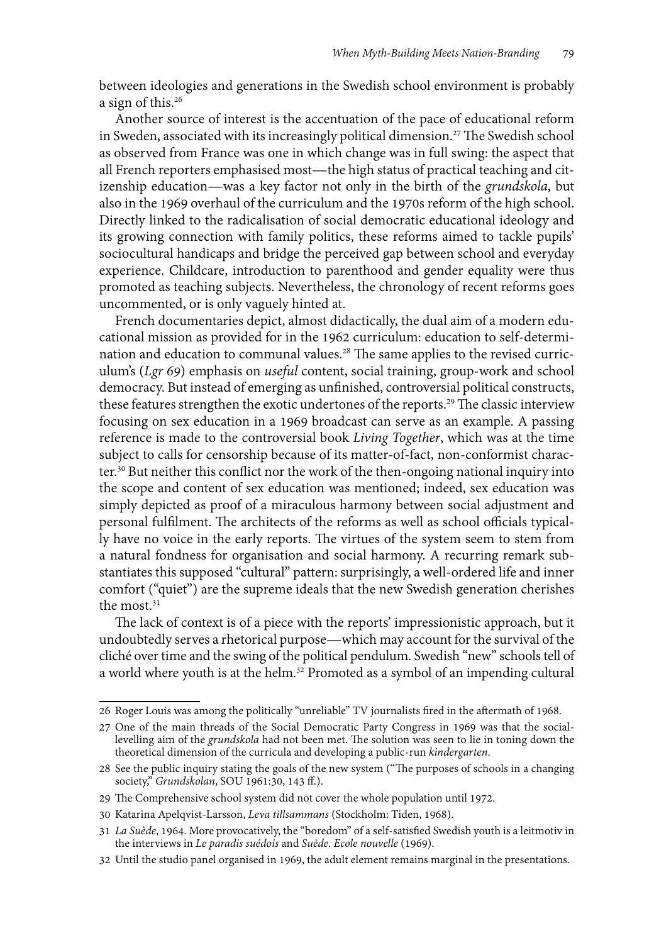between ideologies and generations in the Swedish school environment is probably a sign of this.26

Another source of interest is the accentuation of the pace of educational reform in Sweden, associated with its increasingly political dimension.27 The Swedish school as observed from France was one in which change was in full swing: the aspect that all French reporters emphasised most—the high status of practical teaching and citizenship education—was a key factor not only in the birth of the *grundskola*, but also in the 1969 overhaul of the curriculum and the 1970s reform of the high school. Directly linked to the radicalisation of social democratic educational ideology and its growing connection with family politics, these reforms aimed to tackle pupils' sociocultural handicaps and bridge the perceived gap between school and everyday experience. Childcare, introduction to parenthood and gender equality were thus promoted as teaching subjects. Nevertheless, the chronology of recent reforms goes uncommented, or is only vaguely hinted at.

French documentaries depict, almost didactically, the dual aim of a modern educational mission as provided for in the 1962 curriculum: education to self-determination and education to communal values.<sup>28</sup> The same applies to the revised curriculum's (*Lgr 69*) emphasis on *useful* content, social training, group-work and school democracy. But instead of emerging as unfinished, controversial political constructs, these features strengthen the exotic undertones of the reports.<sup>29</sup> The classic interview focusing on sex education in a 1969 broadcast can serve as an example. A passing reference is made to the controversial book *Living Together*, which was at the time subject to calls for censorship because of its matter-of-fact, non-conformist character.30 But neither this conflict nor the work of the then-ongoing national inquiry into the scope and content of sex education was mentioned; indeed, sex education was simply depicted as proof of a miraculous harmony between social adjustment and personal fulfilment. The architects of the reforms as well as school officials typically have no voice in the early reports. The virtues of the system seem to stem from a natural fondness for organisation and social harmony. A recurring remark substantiates this supposed "cultural" pattern: surprisingly, a well-ordered life and inner comfort ("quiet") are the supreme ideals that the new Swedish generation cherishes the most.<sup>31</sup>

The lack of context is of a piece with the reports' impressionistic approach, but it undoubtedly serves a rhetorical purpose—which may account for the survival of the cliché over time and the swing of the political pendulum. Swedish "new" schools tell of a world where youth is at the helm.<sup>32</sup> Promoted as a symbol of an impending cultural

<sup>26</sup> Roger Louis was among the politically "unreliable" TV journalists fired in the aftermath of 1968.

<sup>27</sup> One of the main threads of the Social Democratic Party Congress in 1969 was that the sociallevelling aim of the *grundskola* had not been met. The solution was seen to lie in toning down the theoretical dimension of the curricula and developing a public-run *kindergarten*.

<sup>28</sup> See the public inquiry stating the goals of the new system ("The purposes of schools in a changing society," *Grundskolan*, SOU 1961:30, 143 ff.).

<sup>29</sup> The Comprehensive school system did not cover the whole population until 1972.

<sup>30</sup> Katarina Apelqvist-Larsson, *Leva tillsammans* (Stockholm: Tiden, 1968).

<sup>31</sup> *La Suède*, 1964. More provocatively, the "boredom" of a self-satisfied Swedish youth is a leitmotiv in the interviews in *Le paradis suédois* and *Suède. Ecole nouvelle* (1969).

<sup>32</sup> Until the studio panel organised in 1969, the adult element remains marginal in the presentations.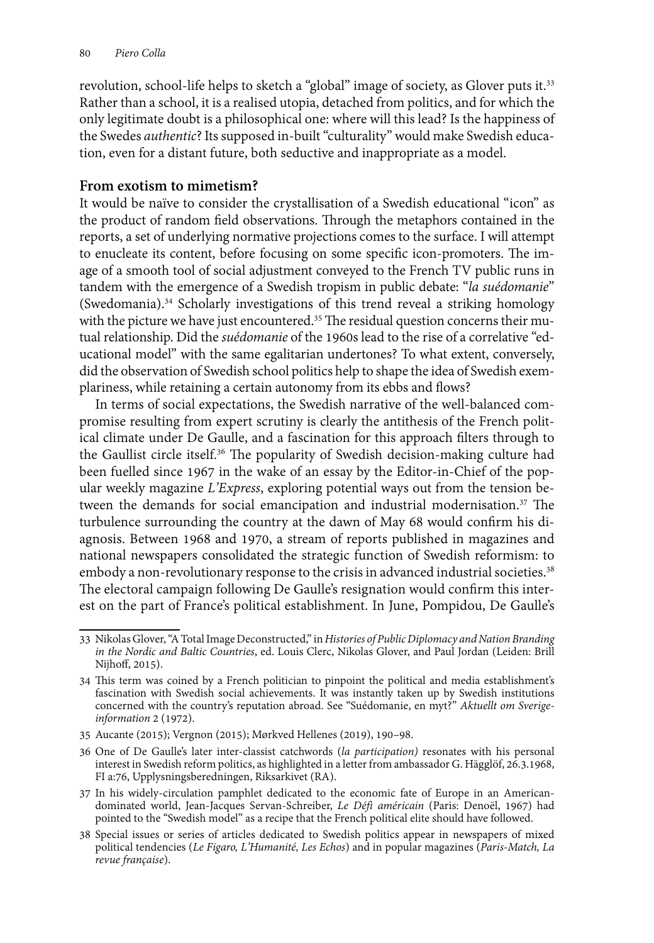revolution, school-life helps to sketch a "global" image of society, as Glover puts it.<sup>33</sup> Rather than a school, it is a realised utopia, detached from politics, and for which the only legitimate doubt is a philosophical one: where will this lead? Is the happiness of the Swedes *authentic*? Its supposed in-built "culturality" would make Swedish education, even for a distant future, both seductive and inappropriate as a model.

## **From exotism to mimetism?**

It would be naïve to consider the crystallisation of a Swedish educational "icon" as the product of random field observations. Through the metaphors contained in the reports, a set of underlying normative projections comes to the surface. I will attempt to enucleate its content, before focusing on some specific icon-promoters. The image of a smooth tool of social adjustment conveyed to the French TV public runs in tandem with the emergence of a Swedish tropism in public debate: "*la suédomanie*" (Swedomania).34 Scholarly investigations of this trend reveal a striking homology with the picture we have just encountered.<sup>35</sup> The residual question concerns their mutual relationship. Did the *suédomanie* of the 1960s lead to the rise of a correlative "educational model" with the same egalitarian undertones? To what extent, conversely, did the observation of Swedish school politics help to shape the idea of Swedish exemplariness, while retaining a certain autonomy from its ebbs and flows?

In terms of social expectations, the Swedish narrative of the well-balanced compromise resulting from expert scrutiny is clearly the antithesis of the French political climate under De Gaulle, and a fascination for this approach filters through to the Gaullist circle itself.36 The popularity of Swedish decision-making culture had been fuelled since 1967 in the wake of an essay by the Editor-in-Chief of the popular weekly magazine *L'Express*, exploring potential ways out from the tension between the demands for social emancipation and industrial modernisation.<sup>37</sup> The turbulence surrounding the country at the dawn of May 68 would confirm his diagnosis. Between 1968 and 1970, a stream of reports published in magazines and national newspapers consolidated the strategic function of Swedish reformism: to embody a non-revolutionary response to the crisis in advanced industrial societies.<sup>38</sup> The electoral campaign following De Gaulle's resignation would confirm this interest on the part of France's political establishment. In June, Pompidou, De Gaulle's

<sup>33</sup> Nikolas Glover, "A Total Image Deconstructed," in *Histories of Public Diplomacy and Nation Branding in the Nordic and Baltic Countries*, ed. Louis Clerc, Nikolas Glover, and Paul Jordan (Leiden: Brill Nijhoff, 2015).

<sup>34</sup> This term was coined by a French politician to pinpoint the political and media establishment's fascination with Swedish social achievements. It was instantly taken up by Swedish institutions concerned with the country's reputation abroad. See "Suédomanie, en myt?" *Aktuellt om Sverigeinformation* 2 (1972).

<sup>35</sup> Aucante (2015); Vergnon (2015); Mørkved Hellenes (2019), 190*–*98.

<sup>36</sup> One of De Gaulle's later inter-classist catchwords (*la participation)* resonates with his personal interest in Swedish reform politics, as highlighted in a letter from ambassador G. Hägglöf, 26.3.1968, FI a:76, Upplysningsberedningen, Riksarkivet (RA).

<sup>37</sup> In his widely-circulation pamphlet dedicated to the economic fate of Europe in an Americandominated world, Jean-Jacques Servan-Schreiber, *Le Défì américain* (Paris: Denoël, 1967) had pointed to the "Swedish model" as a recipe that the French political elite should have followed.

<sup>38</sup> Special issues or series of articles dedicated to Swedish politics appear in newspapers of mixed political tendencies (*Le Figaro, L'Humanité, Les Echos*) and in popular magazines (*Paris-Match, La revue française*).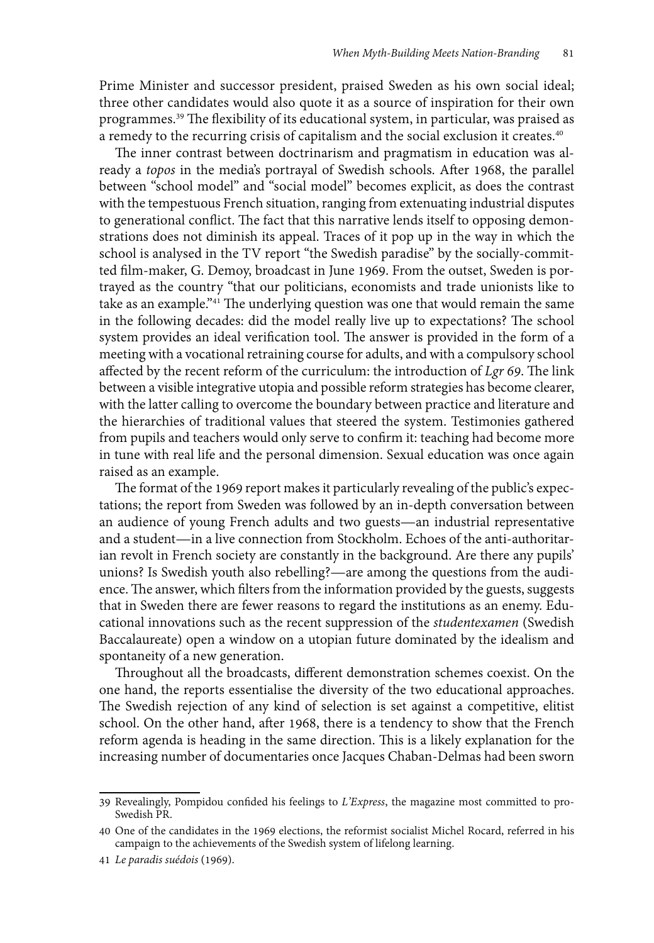Prime Minister and successor president, praised Sweden as his own social ideal; three other candidates would also quote it as a source of inspiration for their own programmes.39 The flexibility of its educational system, in particular, was praised as a remedy to the recurring crisis of capitalism and the social exclusion it creates.<sup>40</sup>

The inner contrast between doctrinarism and pragmatism in education was already a *topos* in the media's portrayal of Swedish schools. After 1968, the parallel between "school model" and "social model" becomes explicit, as does the contrast with the tempestuous French situation, ranging from extenuating industrial disputes to generational conflict. The fact that this narrative lends itself to opposing demonstrations does not diminish its appeal. Traces of it pop up in the way in which the school is analysed in the TV report "the Swedish paradise" by the socially-committed film-maker, G. Demoy, broadcast in June 1969. From the outset, Sweden is portrayed as the country "that our politicians, economists and trade unionists like to take as an example."41 The underlying question was one that would remain the same in the following decades: did the model really live up to expectations? The school system provides an ideal verification tool. The answer is provided in the form of a meeting with a vocational retraining course for adults, and with a compulsory school affected by the recent reform of the curriculum: the introduction of *Lgr 69*. The link between a visible integrative utopia and possible reform strategies has become clearer, with the latter calling to overcome the boundary between practice and literature and the hierarchies of traditional values that steered the system. Testimonies gathered from pupils and teachers would only serve to confirm it: teaching had become more in tune with real life and the personal dimension. Sexual education was once again raised as an example.

The format of the 1969 report makes it particularly revealing of the public's expectations; the report from Sweden was followed by an in-depth conversation between an audience of young French adults and two guests—an industrial representative and a student—in a live connection from Stockholm. Echoes of the anti-authoritarian revolt in French society are constantly in the background. Are there any pupils' unions? Is Swedish youth also rebelling?—are among the questions from the audience. The answer, which filters from the information provided by the guests, suggests that in Sweden there are fewer reasons to regard the institutions as an enemy. Educational innovations such as the recent suppression of the *studentexamen* (Swedish Baccalaureate) open a window on a utopian future dominated by the idealism and spontaneity of a new generation.

Throughout all the broadcasts, different demonstration schemes coexist. On the one hand, the reports essentialise the diversity of the two educational approaches. The Swedish rejection of any kind of selection is set against a competitive, elitist school. On the other hand, after 1968, there is a tendency to show that the French reform agenda is heading in the same direction. This is a likely explanation for the increasing number of documentaries once Jacques Chaban-Delmas had been sworn

<sup>39</sup> Revealingly, Pompidou confided his feelings to *L'Express*, the magazine most committed to pro-Swedish PR.

<sup>40</sup> One of the candidates in the 1969 elections, the reformist socialist Michel Rocard, referred in his campaign to the achievements of the Swedish system of lifelong learning.

<sup>41</sup> *Le paradis suédois* (1969).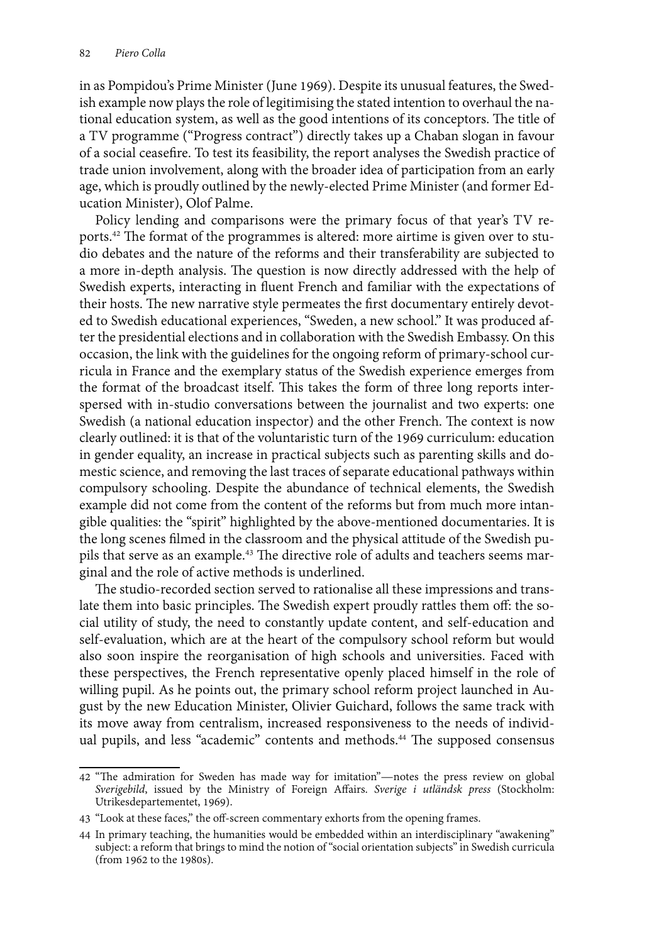in as Pompidou's Prime Minister (June 1969). Despite its unusual features, the Swedish example now plays the role of legitimising the stated intention to overhaul the national education system, as well as the good intentions of its conceptors. The title of a TV programme ("Progress contract") directly takes up a Chaban slogan in favour of a social ceasefire. To test its feasibility, the report analyses the Swedish practice of trade union involvement, along with the broader idea of participation from an early age, which is proudly outlined by the newly-elected Prime Minister (and former Education Minister), Olof Palme.

Policy lending and comparisons were the primary focus of that year's TV reports.42 The format of the programmes is altered: more airtime is given over to studio debates and the nature of the reforms and their transferability are subjected to a more in-depth analysis. The question is now directly addressed with the help of Swedish experts, interacting in fluent French and familiar with the expectations of their hosts. The new narrative style permeates the first documentary entirely devoted to Swedish educational experiences, "Sweden, a new school." It was produced after the presidential elections and in collaboration with the Swedish Embassy. On this occasion, the link with the guidelines for the ongoing reform of primary-school curricula in France and the exemplary status of the Swedish experience emerges from the format of the broadcast itself. This takes the form of three long reports interspersed with in-studio conversations between the journalist and two experts: one Swedish (a national education inspector) and the other French. The context is now clearly outlined: it is that of the voluntaristic turn of the 1969 curriculum: education in gender equality, an increase in practical subjects such as parenting skills and domestic science, and removing the last traces of separate educational pathways within compulsory schooling. Despite the abundance of technical elements, the Swedish example did not come from the content of the reforms but from much more intangible qualities: the "spirit" highlighted by the above-mentioned documentaries. It is the long scenes filmed in the classroom and the physical attitude of the Swedish pupils that serve as an example.43 The directive role of adults and teachers seems marginal and the role of active methods is underlined.

The studio-recorded section served to rationalise all these impressions and translate them into basic principles. The Swedish expert proudly rattles them off: the social utility of study, the need to constantly update content, and self-education and self-evaluation, which are at the heart of the compulsory school reform but would also soon inspire the reorganisation of high schools and universities. Faced with these perspectives, the French representative openly placed himself in the role of willing pupil. As he points out, the primary school reform project launched in August by the new Education Minister, Olivier Guichard, follows the same track with its move away from centralism, increased responsiveness to the needs of individual pupils, and less "academic" contents and methods.<sup>44</sup> The supposed consensus

<sup>42</sup> "The admiration for Sweden has made way for imitation"—notes the press review on global *Sverigebild*, issued by the Ministry of Foreign Affairs. *Sverige i utländsk press* (Stockholm: Utrikesdepartementet, 1969).

<sup>43</sup> "Look at these faces," the off-screen commentary exhorts from the opening frames.

<sup>44</sup> In primary teaching, the humanities would be embedded within an interdisciplinary "awakening" subject: a reform that brings to mind the notion of "social orientation subjects" in Swedish curricula (from 1962 to the 1980s).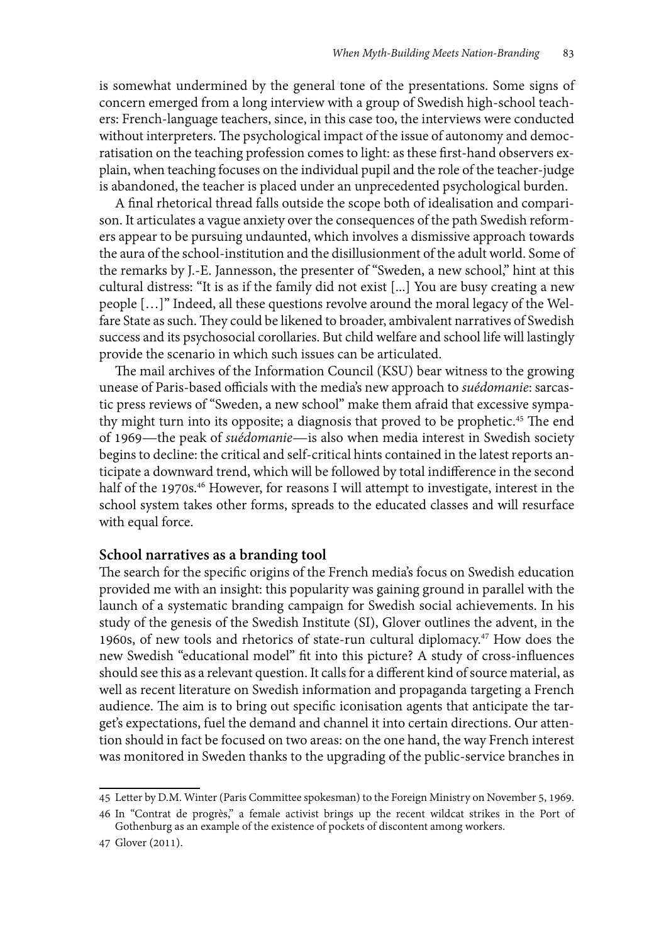is somewhat undermined by the general tone of the presentations. Some signs of concern emerged from a long interview with a group of Swedish high-school teachers: French-language teachers, since, in this case too, the interviews were conducted without interpreters. The psychological impact of the issue of autonomy and democratisation on the teaching profession comes to light: as these first-hand observers explain, when teaching focuses on the individual pupil and the role of the teacher-judge is abandoned, the teacher is placed under an unprecedented psychological burden.

A final rhetorical thread falls outside the scope both of idealisation and comparison. It articulates a vague anxiety over the consequences of the path Swedish reformers appear to be pursuing undaunted, which involves a dismissive approach towards the aura of the school-institution and the disillusionment of the adult world. Some of the remarks by J.-E. Jannesson, the presenter of "Sweden, a new school," hint at this cultural distress: "It is as if the family did not exist [...] You are busy creating a new people […]" Indeed, all these questions revolve around the moral legacy of the Welfare State as such. They could be likened to broader, ambivalent narratives of Swedish success and its psychosocial corollaries. But child welfare and school life will lastingly provide the scenario in which such issues can be articulated.

The mail archives of the Information Council (KSU) bear witness to the growing unease of Paris-based officials with the media's new approach to *suédomanie*: sarcastic press reviews of "Sweden, a new school" make them afraid that excessive sympathy might turn into its opposite; a diagnosis that proved to be prophetic.45 The end of 1969—the peak of *suédomanie*—is also when media interest in Swedish society begins to decline: the critical and self-critical hints contained in the latest reports anticipate a downward trend, which will be followed by total indifference in the second half of the 1970s.<sup>46</sup> However, for reasons I will attempt to investigate, interest in the school system takes other forms, spreads to the educated classes and will resurface with equal force.

#### **School narratives as a branding tool**

The search for the specific origins of the French media's focus on Swedish education provided me with an insight: this popularity was gaining ground in parallel with the launch of a systematic branding campaign for Swedish social achievements. In his study of the genesis of the Swedish Institute (SI), Glover outlines the advent, in the 1960s, of new tools and rhetorics of state-run cultural diplomacy.47 How does the new Swedish "educational model" fit into this picture? A study of cross-influences should see this as a relevant question. It calls for a different kind of source material, as well as recent literature on Swedish information and propaganda targeting a French audience. The aim is to bring out specific iconisation agents that anticipate the target's expectations, fuel the demand and channel it into certain directions. Our attention should in fact be focused on two areas: on the one hand, the way French interest was monitored in Sweden thanks to the upgrading of the public-service branches in

<sup>45</sup> Letter by D.M. Winter (Paris Committee spokesman) to the Foreign Ministry on November 5, 1969.

<sup>46</sup> In "Contrat de progrès," a female activist brings up the recent wildcat strikes in the Port of Gothenburg as an example of the existence of pockets of discontent among workers.

<sup>47</sup> Glover (2011).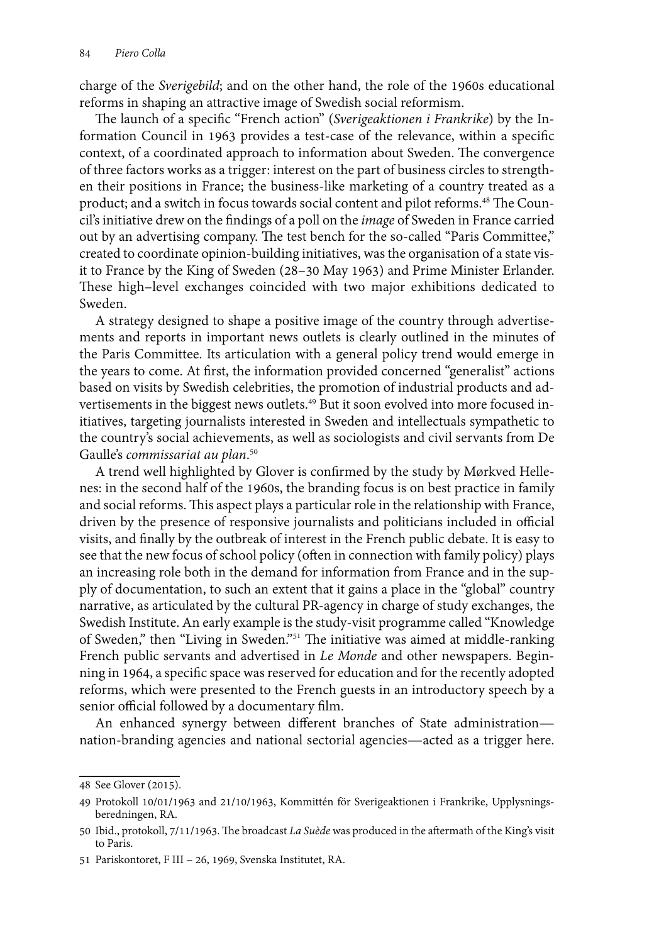charge of the *Sverigebild*; and on the other hand, the role of the 1960s educational reforms in shaping an attractive image of Swedish social reformism.

The launch of a specific "French action" (*Sverigeaktionen i Frankrike*) by the Information Council in 1963 provides a test-case of the relevance, within a specific context, of a coordinated approach to information about Sweden. The convergence of three factors works as a trigger: interest on the part of business circles to strengthen their positions in France; the business-like marketing of a country treated as a product; and a switch in focus towards social content and pilot reforms.48 The Council's initiative drew on the findings of a poll on the *image* of Sweden in France carried out by an advertising company. The test bench for the so-called "Paris Committee," created to coordinate opinion-building initiatives, was the organisation of a state visit to France by the King of Sweden (28–30 May 1963) and Prime Minister Erlander. These high–level exchanges coincided with two major exhibitions dedicated to Sweden.

A strategy designed to shape a positive image of the country through advertisements and reports in important news outlets is clearly outlined in the minutes of the Paris Committee. Its articulation with a general policy trend would emerge in the years to come. At first, the information provided concerned "generalist" actions based on visits by Swedish celebrities, the promotion of industrial products and advertisements in the biggest news outlets.<sup>49</sup> But it soon evolved into more focused initiatives, targeting journalists interested in Sweden and intellectuals sympathetic to the country's social achievements, as well as sociologists and civil servants from De Gaulle's *commissariat au plan*. 50

A trend well highlighted by Glover is confirmed by the study by Mørkved Hellenes: in the second half of the 1960s, the branding focus is on best practice in family and social reforms. This aspect plays a particular role in the relationship with France, driven by the presence of responsive journalists and politicians included in official visits, and finally by the outbreak of interest in the French public debate. It is easy to see that the new focus of school policy (often in connection with family policy) plays an increasing role both in the demand for information from France and in the supply of documentation, to such an extent that it gains a place in the "global" country narrative, as articulated by the cultural PR-agency in charge of study exchanges, the Swedish Institute. An early example is the study-visit programme called "Knowledge of Sweden," then "Living in Sweden."51 The initiative was aimed at middle-ranking French public servants and advertised in *Le Monde* and other newspapers. Beginning in 1964, a specific space was reserved for education and for the recently adopted reforms, which were presented to the French guests in an introductory speech by a senior official followed by a documentary film.

An enhanced synergy between different branches of State administration nation-branding agencies and national sectorial agencies—acted as a trigger here.

<sup>48</sup> See Glover (2015).

<sup>49</sup> Protokoll 10/01/1963 and 21/10/1963, Kommittén för Sverigeaktionen i Frankrike, Upplysningsberedningen, RA.

<sup>50</sup> Ibid., protokoll, 7/11/1963. The broadcast *La Suède* was produced in the aftermath of the King's visit to Paris.

<sup>51</sup> Pariskontoret, F III – 26, 1969, Svenska Institutet, RA.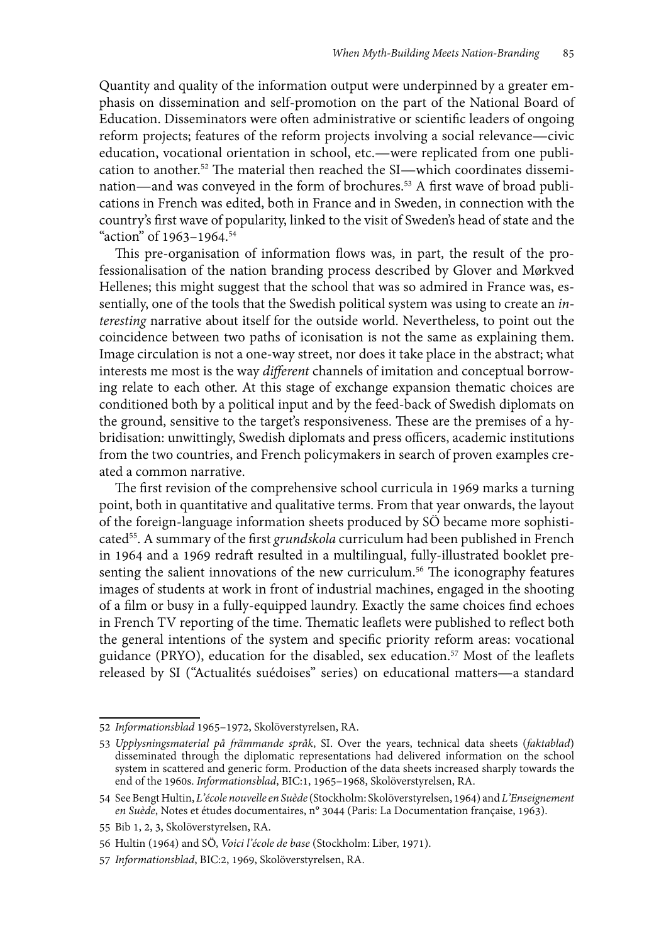Quantity and quality of the information output were underpinned by a greater emphasis on dissemination and self-promotion on the part of the National Board of Education. Disseminators were often administrative or scientific leaders of ongoing reform projects; features of the reform projects involving a social relevance—civic education, vocational orientation in school, etc.—were replicated from one publication to another.52 The material then reached the SI—which coordinates dissemination—and was conveyed in the form of brochures.53 A first wave of broad publications in French was edited, both in France and in Sweden, in connection with the country's first wave of popularity, linked to the visit of Sweden's head of state and the "action" of 1963-1964.<sup>54</sup>

This pre-organisation of information flows was, in part, the result of the professionalisation of the nation branding process described by Glover and Mørkved Hellenes; this might suggest that the school that was so admired in France was, essentially, one of the tools that the Swedish political system was using to create an *interesting* narrative about itself for the outside world. Nevertheless, to point out the coincidence between two paths of iconisation is not the same as explaining them. Image circulation is not a one-way street, nor does it take place in the abstract; what interests me most is the way *different* channels of imitation and conceptual borrowing relate to each other. At this stage of exchange expansion thematic choices are conditioned both by a political input and by the feed-back of Swedish diplomats on the ground, sensitive to the target's responsiveness. These are the premises of a hybridisation: unwittingly, Swedish diplomats and press officers, academic institutions from the two countries, and French policymakers in search of proven examples created a common narrative.

The first revision of the comprehensive school curricula in 1969 marks a turning point, both in quantitative and qualitative terms. From that year onwards, the layout of the foreign-language information sheets produced by SÖ became more sophisticated55. A summary of the first *grundskola* curriculum had been published in French in 1964 and a 1969 redraft resulted in a multilingual, fully-illustrated booklet presenting the salient innovations of the new curriculum.<sup>56</sup> The iconography features images of students at work in front of industrial machines, engaged in the shooting of a film or busy in a fully-equipped laundry. Exactly the same choices find echoes in French TV reporting of the time. Thematic leaflets were published to reflect both the general intentions of the system and specific priority reform areas: vocational guidance (PRYO), education for the disabled, sex education.57 Most of the leaflets released by SI ("Actualités suédoises" series) on educational matters—a standard

<sup>52</sup> *Informationsblad* 1965–1972, Skolöverstyrelsen, RA.

<sup>53</sup> *Upplysningsmaterial på främmande språk*, SI. Over the years, technical data sheets (*faktablad*) disseminated through the diplomatic representations had delivered information on the school system in scattered and generic form. Production of the data sheets increased sharply towards the end of the 1960s. *Informationsblad*, BIC:1, 1965–1968, Skolöverstyrelsen, RA.

<sup>54</sup> See Bengt Hultin, *L'école nouvelle en Suède* (Stockholm: Skolöverstyrelsen, 1964) and *L'Enseignement en Suède*, Notes et études documentaires, n° 3044 (Paris: La Documentation française, 1963).

<sup>55</sup> Bib 1, 2, 3, Skolöverstyrelsen, RA.

<sup>56</sup> Hultin (1964) and SÖ, *Voici l'école de base* (Stockholm: Liber, 1971).

<sup>57</sup> *Informationsblad*, BIC:2, 1969, Skolöverstyrelsen, RA.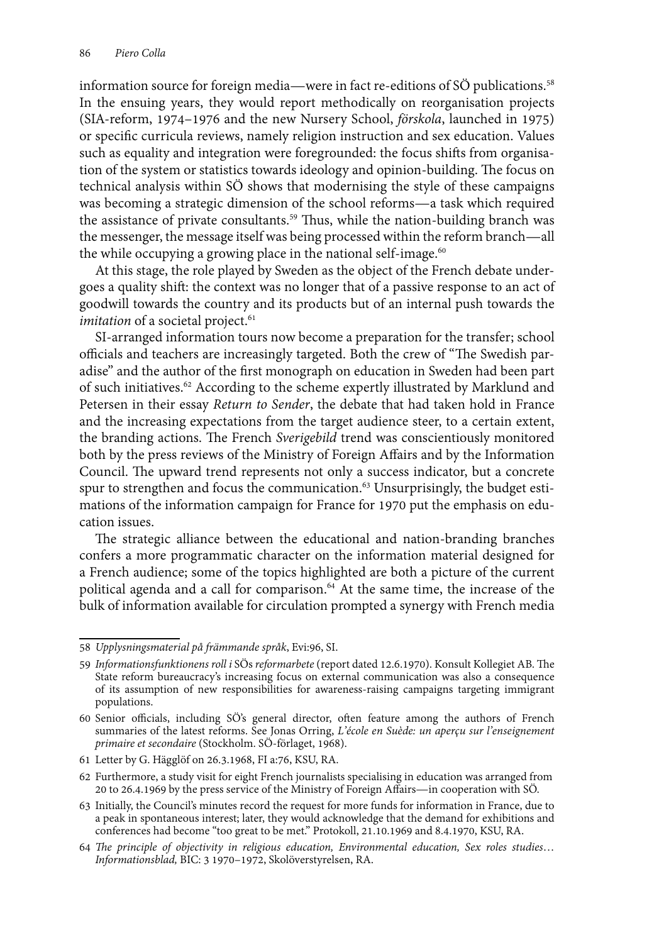information source for foreign media—were in fact re-editions of SÖ publications.58 In the ensuing years, they would report methodically on reorganisation projects (SIA-reform, 1974–1976 and the new Nursery School, *förskola*, launched in 1975) or specific curricula reviews, namely religion instruction and sex education. Values such as equality and integration were foregrounded: the focus shifts from organisation of the system or statistics towards ideology and opinion-building. The focus on technical analysis within SÖ shows that modernising the style of these campaigns was becoming a strategic dimension of the school reforms—a task which required the assistance of private consultants.<sup>59</sup> Thus, while the nation-building branch was the messenger, the message itself was being processed within the reform branch—all the while occupying a growing place in the national self-image. $60$ 

At this stage, the role played by Sweden as the object of the French debate undergoes a quality shift: the context was no longer that of a passive response to an act of goodwill towards the country and its products but of an internal push towards the *imitation* of a societal project.<sup>61</sup>

SI-arranged information tours now become a preparation for the transfer; school officials and teachers are increasingly targeted. Both the crew of "The Swedish paradise" and the author of the first monograph on education in Sweden had been part of such initiatives.<sup>62</sup> According to the scheme expertly illustrated by Marklund and Petersen in their essay *Return to Sender*, the debate that had taken hold in France and the increasing expectations from the target audience steer, to a certain extent, the branding actions. The French *Sverigebild* trend was conscientiously monitored both by the press reviews of the Ministry of Foreign Affairs and by the Information Council. The upward trend represents not only a success indicator, but a concrete spur to strengthen and focus the communication.<sup>63</sup> Unsurprisingly, the budget estimations of the information campaign for France for 1970 put the emphasis on education issues.

The strategic alliance between the educational and nation-branding branches confers a more programmatic character on the information material designed for a French audience; some of the topics highlighted are both a picture of the current political agenda and a call for comparison.<sup>64</sup> At the same time, the increase of the bulk of information available for circulation prompted a synergy with French media

<sup>58</sup> *Upplysningsmaterial på främmande språk*, Evi:96, SI.

<sup>59</sup> *Informationsfunktionens roll i* SÖs *reformarbete* (report dated 12.6.1970). Konsult Kollegiet AB. The State reform bureaucracy's increasing focus on external communication was also a consequence of its assumption of new responsibilities for awareness-raising campaigns targeting immigrant populations.

<sup>60</sup> Senior officials, including SÖ's general director, often feature among the authors of French summaries of the latest reforms. See Jonas Orring, *L'école en Suède: un aperçu sur l'enseignement primaire et secondaire* (Stockholm. SÖ-förlaget, 1968).

<sup>61</sup> Letter by G. Hägglöf on 26.3.1968, FI a:76, KSU, RA.

<sup>62</sup> Furthermore, a study visit for eight French journalists specialising in education was arranged from 20 to 26.4.1969 by the press service of the Ministry of Foreign Affairs—in cooperation with SÖ.

<sup>63</sup> Initially, the Council's minutes record the request for more funds for information in France, due to a peak in spontaneous interest; later, they would acknowledge that the demand for exhibitions and conferences had become "too great to be met." Protokoll, 21.10.1969 and 8.4.1970, KSU, RA.

<sup>64</sup> *The principle of objectivity in religious education, Environmental education, Sex roles studies*… *Informationsblad,* BIC: 3 1970–1972, Skolöverstyrelsen, RA.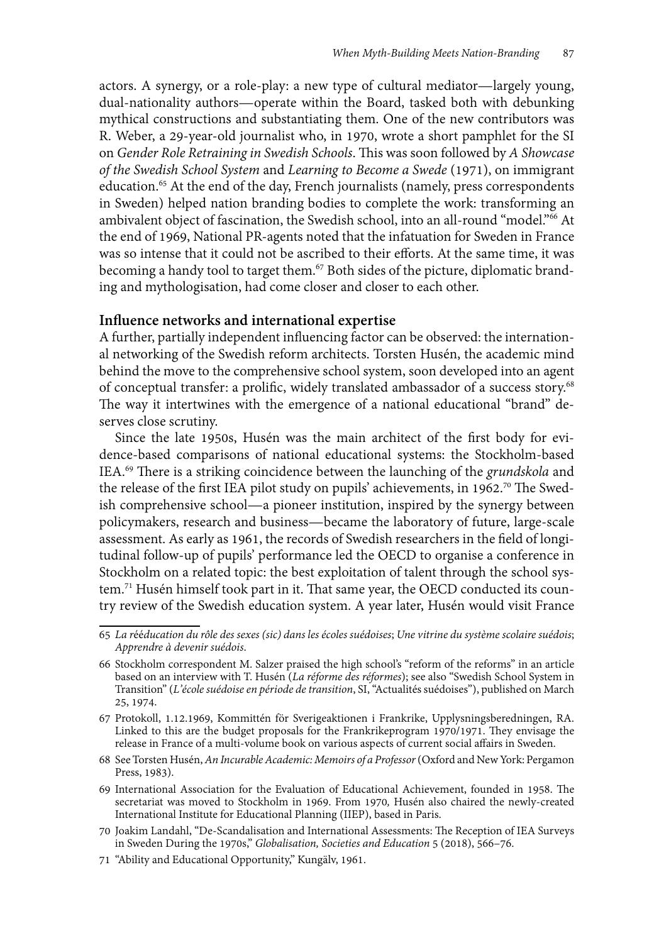actors. A synergy, or a role-play: a new type of cultural mediator—largely young, dual-nationality authors—operate within the Board, tasked both with debunking mythical constructions and substantiating them. One of the new contributors was R. Weber, a 29-year-old journalist who, in 1970, wrote a short pamphlet for the SI on *Gender Role Retraining in Swedish Schools*. This was soon followed by *A Showcase of the Swedish School System* and *Learning to Become a Swede* (1971), on immigrant education.<sup>65</sup> At the end of the day, French journalists (namely, press correspondents in Sweden) helped nation branding bodies to complete the work: transforming an ambivalent object of fascination, the Swedish school, into an all-round "model."<sup>66</sup> At the end of 1969, National PR-agents noted that the infatuation for Sweden in France was so intense that it could not be ascribed to their efforts. At the same time, it was becoming a handy tool to target them.67 Both sides of the picture, diplomatic branding and mythologisation, had come closer and closer to each other.

#### **Influence networks and international expertise**

A further, partially independent influencing factor can be observed: the international networking of the Swedish reform architects. Torsten Husén, the academic mind behind the move to the comprehensive school system, soon developed into an agent of conceptual transfer: a prolific, widely translated ambassador of a success story.<sup>68</sup> The way it intertwines with the emergence of a national educational "brand" deserves close scrutiny.

Since the late 1950s, Husén was the main architect of the first body for evidence-based comparisons of national educational systems: the Stockholm-based IEA.69 There is a striking coincidence between the launching of the *grundskola* and the release of the first IEA pilot study on pupils' achievements, in 1962.<sup>70</sup> The Swedish comprehensive school—a pioneer institution, inspired by the synergy between policymakers, research and business—became the laboratory of future, large-scale assessment. As early as 1961, the records of Swedish researchers in the field of longitudinal follow-up of pupils' performance led the OECD to organise a conference in Stockholm on a related topic: the best exploitation of talent through the school system.71 Husén himself took part in it. That same year, the OECD conducted its country review of the Swedish education system. A year later, Husén would visit France

<sup>65</sup> *La r*éé*ducation du rôle des sexes (sic) dans les écoles suédoises*; *Une vitrine du système scolaire suédois*; *Apprendre à devenir suédois*.

<sup>66</sup> Stockholm correspondent M. Salzer praised the high school's "reform of the reforms" in an article based on an interview with T. Husén (*La réforme des réformes*); see also "Swedish School System in Transition" (*L'école suédoise en période de transition*, SI, "Actualités suédoises"), published on March 25, 1974.

<sup>67</sup> Protokoll, 1.12.1969, Kommittén för Sverigeaktionen i Frankrike, Upplysningsberedningen, RA. Linked to this are the budget proposals for the Frankrikeprogram 1970/1971. They envisage the release in France of a multi-volume book on various aspects of current social affairs in Sweden.

<sup>68</sup> See Torsten Husén, *An Incurable Academic: Memoirs of a Professor* (Oxford and New York: Pergamon Press, 1983).

<sup>69</sup> International Association for the Evaluation of Educational Achievement, founded in 1958. The secretariat was moved to Stockholm in 1969. From 1970*,* Husén also chaired the newly-created International Institute for Educational Planning (IIEP), based in Paris.

<sup>70</sup> Joakim Landahl, "De-Scandalisation and International Assessments: The Reception of IEA Surveys in Sweden During the 1970s," *Globalisation, Societies and Education* 5 (2018), 566–76.

<sup>71</sup> "Ability and Educational Opportunity," Kungälv, 1961.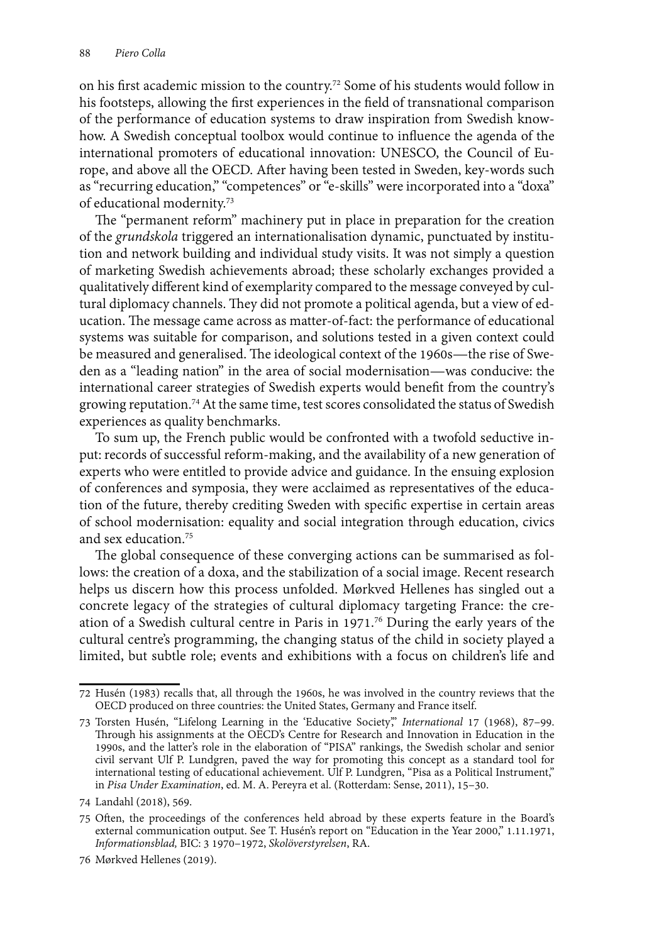on his first academic mission to the country.72 Some of his students would follow in his footsteps, allowing the first experiences in the field of transnational comparison of the performance of education systems to draw inspiration from Swedish knowhow. A Swedish conceptual toolbox would continue to influence the agenda of the international promoters of educational innovation: UNESCO, the Council of Europe, and above all the OECD. After having been tested in Sweden, key-words such as "recurring education," "competences" or "e-skills" were incorporated into a "doxa" of educational modernity.73

The "permanent reform" machinery put in place in preparation for the creation of the *grundskola* triggered an internationalisation dynamic, punctuated by institution and network building and individual study visits. It was not simply a question of marketing Swedish achievements abroad; these scholarly exchanges provided a qualitatively different kind of exemplarity compared to the message conveyed by cultural diplomacy channels. They did not promote a political agenda, but a view of education. The message came across as matter-of-fact: the performance of educational systems was suitable for comparison, and solutions tested in a given context could be measured and generalised. The ideological context of the 1960s—the rise of Sweden as a "leading nation" in the area of social modernisation—was conducive: the international career strategies of Swedish experts would benefit from the country's growing reputation.74 At the same time, test scores consolidated the status of Swedish experiences as quality benchmarks.

To sum up, the French public would be confronted with a twofold seductive input: records of successful reform-making, and the availability of a new generation of experts who were entitled to provide advice and guidance. In the ensuing explosion of conferences and symposia, they were acclaimed as representatives of the education of the future, thereby crediting Sweden with specific expertise in certain areas of school modernisation: equality and social integration through education, civics and sex education.75

The global consequence of these converging actions can be summarised as follows: the creation of a doxa, and the stabilization of a social image. Recent research helps us discern how this process unfolded. Mørkved Hellenes has singled out a concrete legacy of the strategies of cultural diplomacy targeting France: the creation of a Swedish cultural centre in Paris in 1971.76 During the early years of the cultural centre's programming, the changing status of the child in society played a limited, but subtle role; events and exhibitions with a focus on children's life and

<sup>72</sup> Husén (1983) recalls that, all through the 1960s, he was involved in the country reviews that the OECD produced on three countries: the United States, Germany and France itself.

<sup>73</sup> Torsten Husén, "Lifelong Learning in the 'Educative Society'," *International* 17 (1968), 87–99. Through his assignments at the OECD's Centre for Research and Innovation in Education in the 1990s, and the latter's role in the elaboration of "PISA" rankings, the Swedish scholar and senior civil servant Ulf P. Lundgren, paved the way for promoting this concept as a standard tool for international testing of educational achievement. Ulf P. Lundgren, "Pisa as a Political Instrument," in *Pisa Under Examination*, ed. M. A. Pereyra et al. (Rotterdam: Sense, 2011), 15–30.

<sup>74</sup> Landahl (2018), 569.

<sup>75</sup> Often, the proceedings of the conferences held abroad by these experts feature in the Board's external communication output. See T. Husén's report on "Education in the Year 2000," 1.11.1971, *Informationsblad,* BIC: 3 1970–1972, *Skolöverstyrelsen*, RA.

<sup>76</sup> Mørkved Hellenes (2019).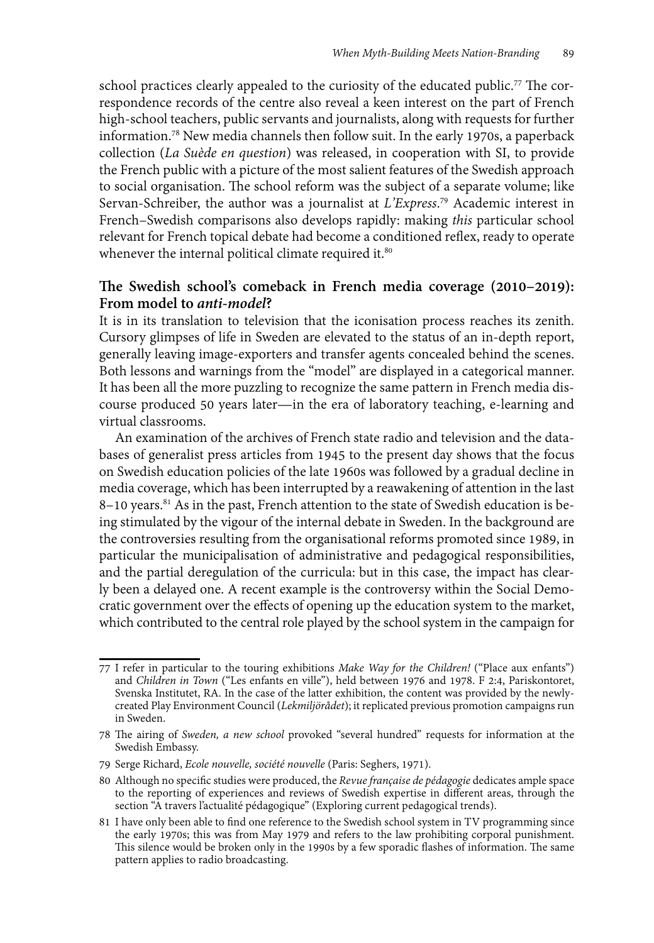school practices clearly appealed to the curiosity of the educated public.<sup>77</sup> The correspondence records of the centre also reveal a keen interest on the part of French high-school teachers, public servants and journalists, along with requests for further information.78 New media channels then follow suit. In the early 1970s, a paperback collection (*La Suède en question*) was released, in cooperation with SI, to provide the French public with a picture of the most salient features of the Swedish approach to social organisation. The school reform was the subject of a separate volume; like Servan-Schreiber, the author was a journalist at *L'Express*. 79 Academic interest in French–Swedish comparisons also develops rapidly: making *this* particular school relevant for French topical debate had become a conditioned reflex, ready to operate whenever the internal political climate required it.<sup>80</sup>

## **The Swedish school's comeback in French media coverage (2010–2019): From model to** *anti-model***?**

It is in its translation to television that the iconisation process reaches its zenith. Cursory glimpses of life in Sweden are elevated to the status of an in-depth report, generally leaving image-exporters and transfer agents concealed behind the scenes. Both lessons and warnings from the "model" are displayed in a categorical manner. It has been all the more puzzling to recognize the same pattern in French media discourse produced 50 years later—in the era of laboratory teaching, e-learning and virtual classrooms.

An examination of the archives of French state radio and television and the databases of generalist press articles from 1945 to the present day shows that the focus on Swedish education policies of the late 1960s was followed by a gradual decline in media coverage, which has been interrupted by a reawakening of attention in the last 8–10 years.<sup>81</sup> As in the past, French attention to the state of Swedish education is being stimulated by the vigour of the internal debate in Sweden. In the background are the controversies resulting from the organisational reforms promoted since 1989, in particular the municipalisation of administrative and pedagogical responsibilities, and the partial deregulation of the curricula: but in this case, the impact has clearly been a delayed one. A recent example is the controversy within the Social Democratic government over the effects of opening up the education system to the market, which contributed to the central role played by the school system in the campaign for

<sup>77</sup> I refer in particular to the touring exhibitions *Make Way for the Children!* ("Place aux enfants") and *Children in Town* ("Les enfants en ville"), held between 1976 and 1978. F 2:4, Pariskontoret, Svenska Institutet, RA. In the case of the latter exhibition, the content was provided by the newlycreated Play Environment Council (*Lekmiljörådet*); it replicated previous promotion campaigns run in Sweden.

<sup>78</sup> The airing of *Sweden, a new school* provoked "several hundred" requests for information at the Swedish Embassy.

<sup>79</sup> Serge Richard, *Ecole nouvelle, société nouvelle* (Paris: Seghers, 1971).

<sup>80</sup> Although no specific studies were produced, the *Revue française de pédagogie* dedicates ample space to the reporting of experiences and reviews of Swedish expertise in different areas, through the section "A travers l'actualité pédagogique" (Exploring current pedagogical trends).

<sup>81</sup> I have only been able to find one reference to the Swedish school system in TV programming since the early 1970s; this was from May 1979 and refers to the law prohibiting corporal punishment. This silence would be broken only in the 1990s by a few sporadic flashes of information. The same pattern applies to radio broadcasting.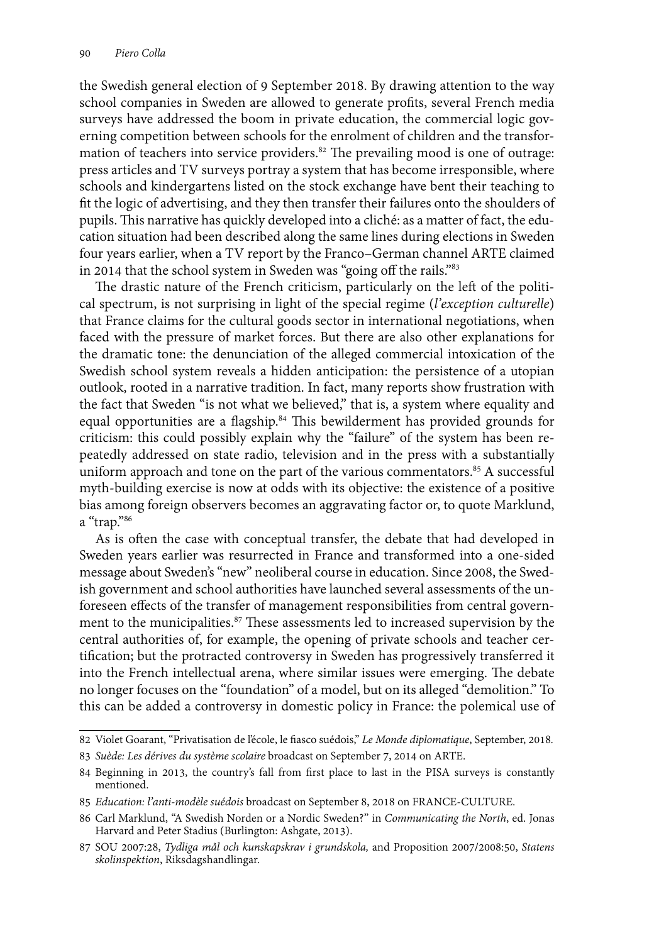the Swedish general election of 9 September 2018. By drawing attention to the way school companies in Sweden are allowed to generate profits, several French media surveys have addressed the boom in private education, the commercial logic governing competition between schools for the enrolment of children and the transformation of teachers into service providers.<sup>82</sup> The prevailing mood is one of outrage: press articles and TV surveys portray a system that has become irresponsible, where schools and kindergartens listed on the stock exchange have bent their teaching to fit the logic of advertising, and they then transfer their failures onto the shoulders of pupils. This narrative has quickly developed into a cliché: as a matter of fact, the education situation had been described along the same lines during elections in Sweden four years earlier, when a TV report by the Franco–German channel ARTE claimed in 2014 that the school system in Sweden was "going off the rails."<sup>83</sup>

The drastic nature of the French criticism, particularly on the left of the political spectrum, is not surprising in light of the special regime (*l'exception culturelle*) that France claims for the cultural goods sector in international negotiations, when faced with the pressure of market forces. But there are also other explanations for the dramatic tone: the denunciation of the alleged commercial intoxication of the Swedish school system reveals a hidden anticipation: the persistence of a utopian outlook, rooted in a narrative tradition. In fact, many reports show frustration with the fact that Sweden "is not what we believed," that is, a system where equality and equal opportunities are a flagship.<sup>84</sup> This bewilderment has provided grounds for criticism: this could possibly explain why the "failure" of the system has been repeatedly addressed on state radio, television and in the press with a substantially uniform approach and tone on the part of the various commentators.<sup>85</sup> A successful myth-building exercise is now at odds with its objective: the existence of a positive bias among foreign observers becomes an aggravating factor or, to quote Marklund, a "trap."86

As is often the case with conceptual transfer, the debate that had developed in Sweden years earlier was resurrected in France and transformed into a one-sided message about Sweden's "new" neoliberal course in education. Since 2008, the Swedish government and school authorities have launched several assessments of the unforeseen effects of the transfer of management responsibilities from central government to the municipalities.<sup>87</sup> These assessments led to increased supervision by the central authorities of, for example, the opening of private schools and teacher certification; but the protracted controversy in Sweden has progressively transferred it into the French intellectual arena, where similar issues were emerging. The debate no longer focuses on the "foundation" of a model, but on its alleged "demolition." To this can be added a controversy in domestic policy in France: the polemical use of

<sup>82</sup> Violet Goarant, "Privatisation de l'école, le fiasco suédois," *Le Monde diplomatique*, September, 2018*.*

<sup>83</sup> *Suède: Les dérives du système scolaire* broadcast on September 7, 2014 on ARTE.

<sup>84</sup> Beginning in 2013, the country's fall from first place to last in the PISA surveys is constantly mentioned.

<sup>85</sup> *Education: l'anti-modèle suédois* broadcast on September 8, 2018 on FRANCE-CULTURE.

<sup>86</sup> Carl Marklund, "A Swedish Norden or a Nordic Sweden?" in *Communicating the North*, ed. Jonas Harvard and Peter Stadius (Burlington: Ashgate, 2013).

<sup>87</sup> SOU 2007:28, *Tydliga mål och kunskapskrav i grundskola,* and Proposition 2007/2008:50, *Statens skolinspektion*, Riksdagshandlingar.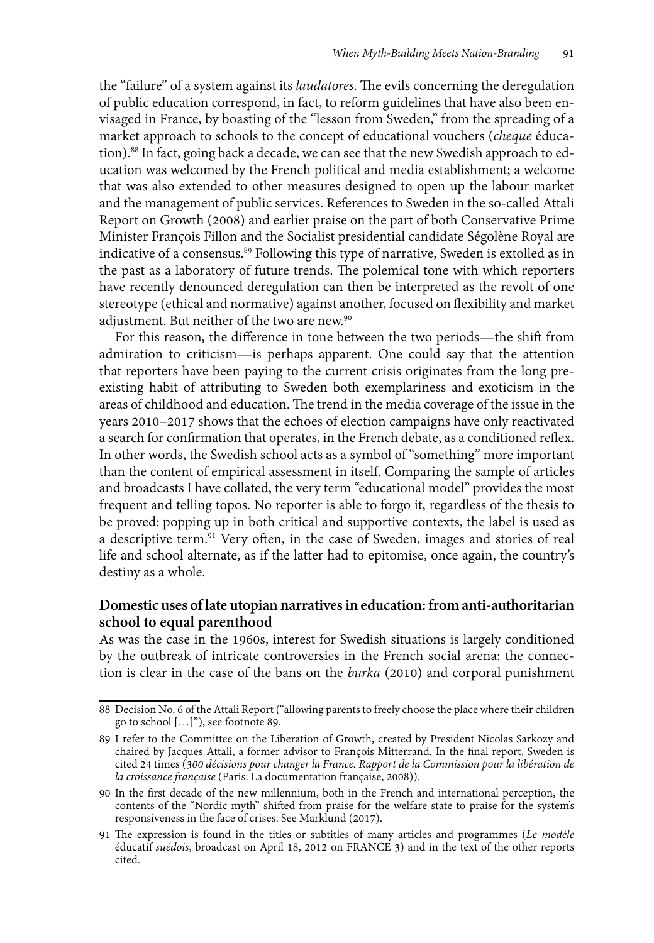the "failure" of a system against its *laudatores*. The evils concerning the deregulation of public education correspond, in fact, to reform guidelines that have also been envisaged in France, by boasting of the "lesson from Sweden," from the spreading of a market approach to schools to the concept of educational vouchers (*cheque* éducation).88 In fact, going back a decade, we can see that the new Swedish approach to education was welcomed by the French political and media establishment; a welcome that was also extended to other measures designed to open up the labour market and the management of public services. References to Sweden in the so-called Attali Report on Growth (2008) and earlier praise on the part of both Conservative Prime Minister François Fillon and the Socialist presidential candidate Ségolène Royal are indicative of a consensus.<sup>89</sup> Following this type of narrative, Sweden is extolled as in the past as a laboratory of future trends. The polemical tone with which reporters have recently denounced deregulation can then be interpreted as the revolt of one stereotype (ethical and normative) against another, focused on flexibility and market adjustment. But neither of the two are new.<sup>90</sup>

For this reason, the difference in tone between the two periods—the shift from admiration to criticism—is perhaps apparent. One could say that the attention that reporters have been paying to the current crisis originates from the long preexisting habit of attributing to Sweden both exemplariness and exoticism in the areas of childhood and education. The trend in the media coverage of the issue in the years 2010–2017 shows that the echoes of election campaigns have only reactivated a search for confirmation that operates, in the French debate, as a conditioned reflex. In other words, the Swedish school acts as a symbol of "something" more important than the content of empirical assessment in itself. Comparing the sample of articles and broadcasts I have collated, the very term "educational model" provides the most frequent and telling topos. No reporter is able to forgo it, regardless of the thesis to be proved: popping up in both critical and supportive contexts, the label is used as a descriptive term.<sup>91</sup> Very often, in the case of Sweden, images and stories of real life and school alternate, as if the latter had to epitomise, once again, the country's destiny as a whole.

## **Domestic uses of late utopian narratives in education: from anti-authoritarian school to equal parenthood**

As was the case in the 1960s, interest for Swedish situations is largely conditioned by the outbreak of intricate controversies in the French social arena: the connection is clear in the case of the bans on the *burka* (2010) and corporal punishment

<sup>88</sup> Decision No. 6 of the Attali Report ("allowing parents to freely choose the place where their children go to school […]"), see footnote 89.

<sup>89</sup> I refer to the Committee on the Liberation of Growth, created by President Nicolas Sarkozy and chaired by Jacques Attali, a former advisor to François Mitterrand. In the final report, Sweden is cited 24 times (*300 décisions pour changer la France. Rapport de la Commission pour la libération de la croissance française* (Paris: La documentation française, 2008)).

<sup>90</sup> In the first decade of the new millennium, both in the French and international perception, the contents of the "Nordic myth" shifted from praise for the welfare state to praise for the system's responsiveness in the face of crises. See Marklund (2017).

<sup>91</sup> The expression is found in the titles or subtitles of many articles and programmes (*Le modèle*  éducatif *suédois*, broadcast on April 18, 2012 on FRANCE 3) and in the text of the other reports cited.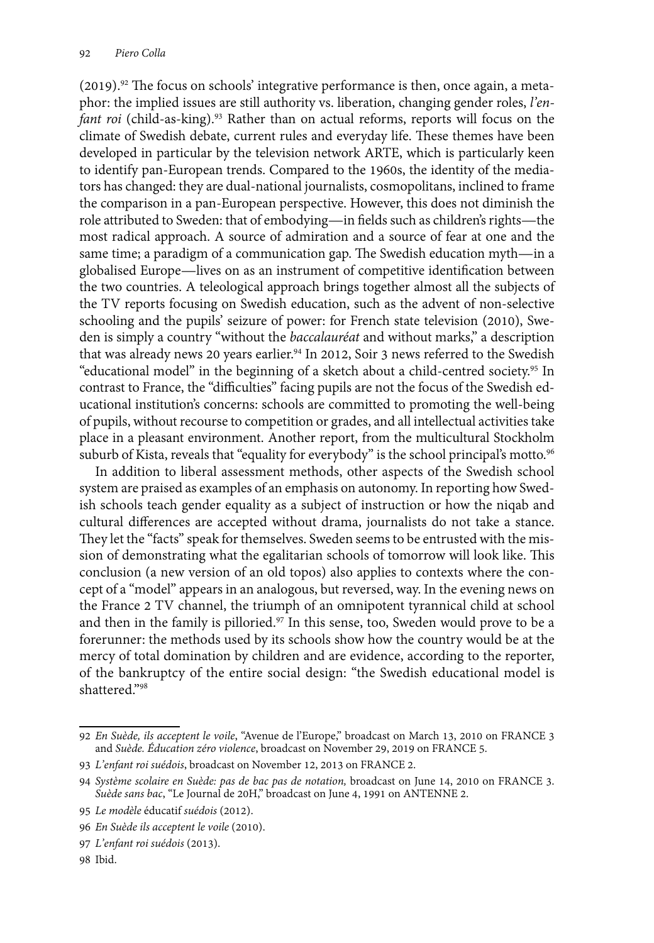(2019).92 The focus on schools' integrative performance is then, once again, a metaphor: the implied issues are still authority vs. liberation, changing gender roles, *l'en*fant roi (child-as-king).<sup>93</sup> Rather than on actual reforms, reports will focus on the climate of Swedish debate, current rules and everyday life. These themes have been developed in particular by the television network ARTE, which is particularly keen to identify pan-European trends. Compared to the 1960s, the identity of the mediators has changed: they are dual-national journalists, cosmopolitans, inclined to frame the comparison in a pan-European perspective. However, this does not diminish the role attributed to Sweden: that of embodying—in fields such as children's rights—the most radical approach. A source of admiration and a source of fear at one and the same time; a paradigm of a communication gap. The Swedish education myth—in a globalised Europe—lives on as an instrument of competitive identification between the two countries. A teleological approach brings together almost all the subjects of the TV reports focusing on Swedish education, such as the advent of non-selective schooling and the pupils' seizure of power: for French state television (2010), Sweden is simply a country "without the *baccalauréat* and without marks," a description that was already news 20 years earlier.<sup>94</sup> In 2012, Soir 3 news referred to the Swedish "educational model" in the beginning of a sketch about a child-centred society.95 In contrast to France, the "difficulties" facing pupils are not the focus of the Swedish educational institution's concerns: schools are committed to promoting the well-being of pupils, without recourse to competition or grades, and all intellectual activities take place in a pleasant environment. Another report, from the multicultural Stockholm suburb of Kista, reveals that "equality for everybody" is the school principal's motto.<sup>96</sup>

In addition to liberal assessment methods, other aspects of the Swedish school system are praised as examples of an emphasis on autonomy. In reporting how Swedish schools teach gender equality as a subject of instruction or how the niqab and cultural differences are accepted without drama, journalists do not take a stance. They let the "facts" speak for themselves. Sweden seems to be entrusted with the mission of demonstrating what the egalitarian schools of tomorrow will look like. This conclusion (a new version of an old topos) also applies to contexts where the concept of a "model" appears in an analogous, but reversed, way. In the evening news on the France 2 TV channel, the triumph of an omnipotent tyrannical child at school and then in the family is pilloried.<sup>97</sup> In this sense, too, Sweden would prove to be a forerunner: the methods used by its schools show how the country would be at the mercy of total domination by children and are evidence, according to the reporter, of the bankruptcy of the entire social design: "the Swedish educational model is shattered."98

<sup>92</sup> *En Suède, ils acceptent le voile*, "Avenue de l'Europe," broadcast on March 13, 2010 on FRANCE 3 and *Suède. Éducation zéro violence*, broadcast on November 29, 2019 on FRANCE 5.

<sup>93</sup> *L'enfant roi suédois*, broadcast on November 12, 2013 on FRANCE 2.

<sup>94</sup> *Système scolaire en Suède: pas de bac pas de notation,* broadcast on June 14, 2010 on FRANCE 3. *Suède sans bac*, "Le Journal de 20H," broadcast on June 4, 1991 on ANTENNE 2.

<sup>95</sup> *Le modèle* éducatif *suédois* (2012).

<sup>96</sup> *En Suède ils acceptent le voile* (2010).

<sup>97</sup> *L'enfant roi suédois* (2013).

<sup>98</sup> Ibid.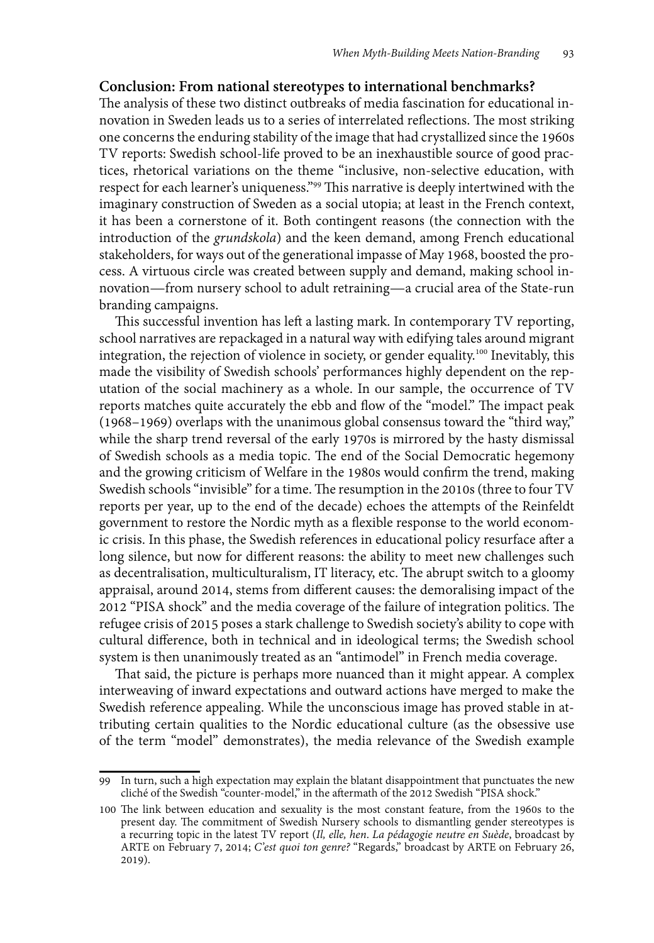#### **Conclusion: From national stereotypes to international benchmarks?**

The analysis of these two distinct outbreaks of media fascination for educational innovation in Sweden leads us to a series of interrelated reflections. The most striking one concerns the enduring stability of the image that had crystallized since the 1960s TV reports: Swedish school-life proved to be an inexhaustible source of good practices, rhetorical variations on the theme "inclusive, non-selective education, with respect for each learner's uniqueness."99 This narrative is deeply intertwined with the imaginary construction of Sweden as a social utopia; at least in the French context, it has been a cornerstone of it. Both contingent reasons (the connection with the introduction of the *grundskola*) and the keen demand, among French educational stakeholders, for ways out of the generational impasse of May 1968, boosted the process. A virtuous circle was created between supply and demand, making school innovation—from nursery school to adult retraining—a crucial area of the State-run branding campaigns.

This successful invention has left a lasting mark. In contemporary TV reporting, school narratives are repackaged in a natural way with edifying tales around migrant integration, the rejection of violence in society, or gender equality.100 Inevitably, this made the visibility of Swedish schools' performances highly dependent on the reputation of the social machinery as a whole. In our sample, the occurrence of TV reports matches quite accurately the ebb and flow of the "model." The impact peak (1968–1969) overlaps with the unanimous global consensus toward the "third way," while the sharp trend reversal of the early 1970s is mirrored by the hasty dismissal of Swedish schools as a media topic. The end of the Social Democratic hegemony and the growing criticism of Welfare in the 1980s would confirm the trend, making Swedish schools "invisible" for a time. The resumption in the 2010s (three to four TV reports per year, up to the end of the decade) echoes the attempts of the Reinfeldt government to restore the Nordic myth as a flexible response to the world economic crisis. In this phase, the Swedish references in educational policy resurface after a long silence, but now for different reasons: the ability to meet new challenges such as decentralisation, multiculturalism, IT literacy, etc. The abrupt switch to a gloomy appraisal, around 2014, stems from different causes: the demoralising impact of the 2012 "PISA shock" and the media coverage of the failure of integration politics. The refugee crisis of 2015 poses a stark challenge to Swedish society's ability to cope with cultural difference, both in technical and in ideological terms; the Swedish school system is then unanimously treated as an "antimodel" in French media coverage.

That said, the picture is perhaps more nuanced than it might appear. A complex interweaving of inward expectations and outward actions have merged to make the Swedish reference appealing. While the unconscious image has proved stable in attributing certain qualities to the Nordic educational culture (as the obsessive use of the term "model" demonstrates), the media relevance of the Swedish example

<sup>99</sup> In turn, such a high expectation may explain the blatant disappointment that punctuates the new cliché of the Swedish "counter-model," in the aftermath of the 2012 Swedish "PISA shock."

<sup>100</sup> The link between education and sexuality is the most constant feature, from the 1960s to the present day. The commitment of Swedish Nursery schools to dismantling gender stereotypes is a recurring topic in the latest TV report (*Il, elle, hen*. *La pédagogie neutre en Suède*, broadcast by ARTE on February 7, 2014; *C'est quoi ton genre?* "Regards," broadcast by ARTE on February 26, 2019).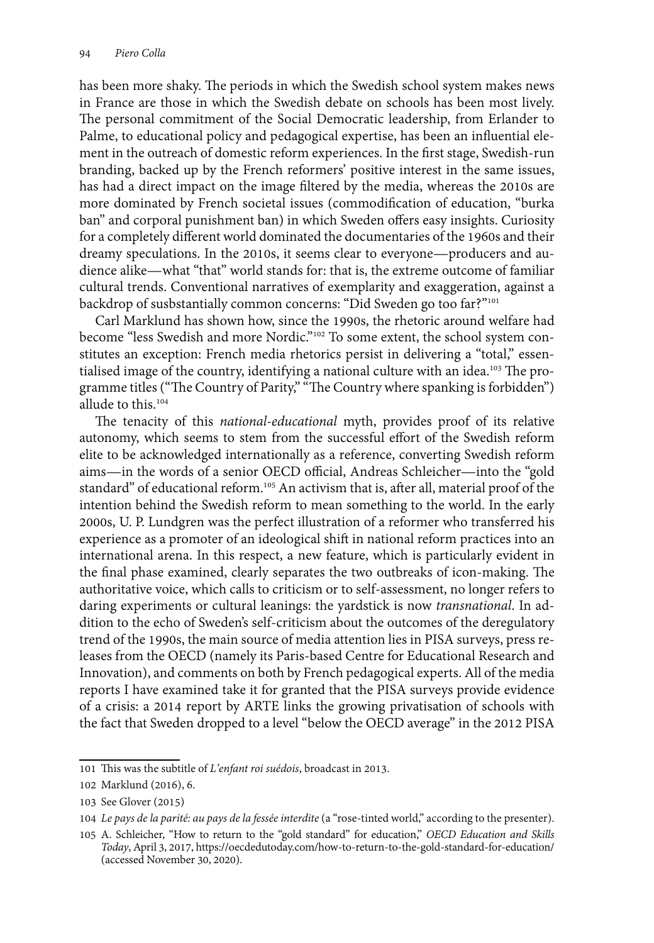has been more shaky. The periods in which the Swedish school system makes news in France are those in which the Swedish debate on schools has been most lively. The personal commitment of the Social Democratic leadership, from Erlander to Palme, to educational policy and pedagogical expertise, has been an influential element in the outreach of domestic reform experiences. In the first stage, Swedish-run branding, backed up by the French reformers' positive interest in the same issues, has had a direct impact on the image filtered by the media, whereas the 2010s are more dominated by French societal issues (commodification of education, "burka ban" and corporal punishment ban) in which Sweden offers easy insights. Curiosity for a completely different world dominated the documentaries of the 1960s and their dreamy speculations. In the 2010s, it seems clear to everyone—producers and audience alike—what "that" world stands for: that is, the extreme outcome of familiar cultural trends. Conventional narratives of exemplarity and exaggeration, against a backdrop of susbstantially common concerns: "Did Sweden go too far?"101

Carl Marklund has shown how, since the 1990s, the rhetoric around welfare had become "less Swedish and more Nordic."102 To some extent, the school system constitutes an exception: French media rhetorics persist in delivering a "total," essentialised image of the country, identifying a national culture with an idea.<sup>103</sup> The programme titles ("The Country of Parity," "The Country where spanking is forbidden") allude to this.104

The tenacity of this *national-educational* myth, provides proof of its relative autonomy, which seems to stem from the successful effort of the Swedish reform elite to be acknowledged internationally as a reference, converting Swedish reform aims—in the words of a senior OECD official, Andreas Schleicher—into the "gold standard" of educational reform.<sup>105</sup> An activism that is, after all, material proof of the intention behind the Swedish reform to mean something to the world. In the early 2000s, U. P. Lundgren was the perfect illustration of a reformer who transferred his experience as a promoter of an ideological shift in national reform practices into an international arena. In this respect, a new feature, which is particularly evident in the final phase examined, clearly separates the two outbreaks of icon-making. The authoritative voice, which calls to criticism or to self-assessment, no longer refers to daring experiments or cultural leanings: the yardstick is now *transnational*. In addition to the echo of Sweden's self-criticism about the outcomes of the deregulatory trend of the 1990s, the main source of media attention lies in PISA surveys, press releases from the OECD (namely its Paris-based Centre for Educational Research and Innovation), and comments on both by French pedagogical experts. All of the media reports I have examined take it for granted that the PISA surveys provide evidence of a crisis: a 2014 report by ARTE links the growing privatisation of schools with the fact that Sweden dropped to a level "below the OECD average" in the 2012 PISA

<sup>101</sup> This was the subtitle of *L'enfant roi suédois*, broadcast in 2013.

<sup>102</sup> Marklund (2016), 6.

<sup>103</sup> See Glover (2015)

<sup>104</sup> *Le pays de la parité: au pays de la fessée interdite* (a "rose-tinted world," according to the presenter).

<sup>105</sup> A. Schleicher, "How to return to the "gold standard" for education," *OECD Education and Skills Today*, April 3, 2017, https://oecdedutoday.com/how-to-return-to-the-gold-standard-for-education/ (accessed November 30, 2020).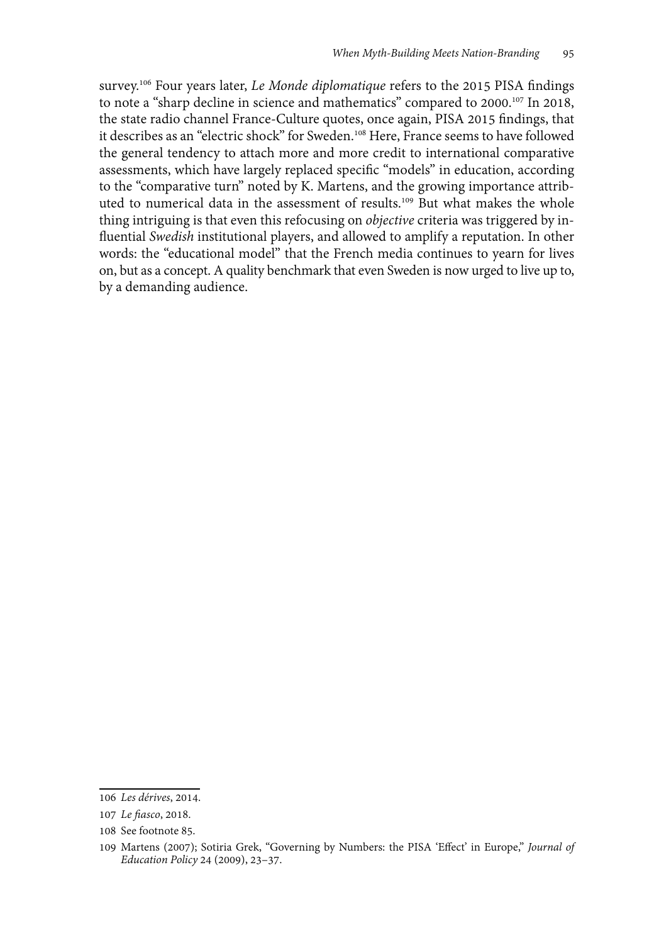survey.106 Four years later, *Le Monde diplomatique* refers to the 2015 PISA findings to note a "sharp decline in science and mathematics" compared to 2000.<sup>107</sup> In 2018, the state radio channel France-Culture quotes, once again, PISA 2015 findings, that it describes as an "electric shock" for Sweden.<sup>108</sup> Here, France seems to have followed the general tendency to attach more and more credit to international comparative assessments, which have largely replaced specific "models" in education, according to the "comparative turn" noted by K. Martens, and the growing importance attributed to numerical data in the assessment of results.109 But what makes the whole thing intriguing is that even this refocusing on *objective* criteria was triggered by influential *Swedish* institutional players, and allowed to amplify a reputation. In other words: the "educational model" that the French media continues to yearn for lives on, but as a concept. A quality benchmark that even Sweden is now urged to live up to, by a demanding audience.

<sup>106</sup> *Les dérives*, 2014.

<sup>107</sup> *Le fiasco*, 2018.

<sup>108</sup> See footnote 85.

<sup>109</sup> Martens (2007); Sotiria Grek, "Governing by Numbers: the PISA 'Effect' in Europe," *Journal of Education Policy* 24 (2009), 23–37.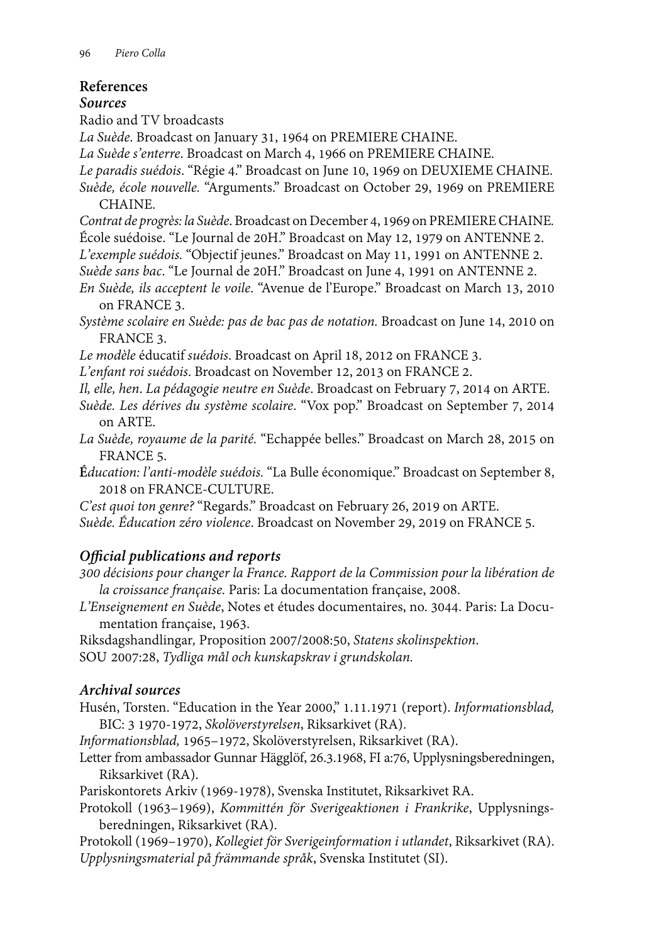## **References**

## *Sources*

Radio and TV broadcasts

*La Suède*. Broadcast on January 31, 1964 on PREMIERE CHAINE.

*La Suède s'enterre*. Broadcast on March 4, 1966 on PREMIERE CHAINE.

*Le paradis suédois*. "Régie 4." Broadcast on June 10, 1969 on DEUXIEME CHAINE. *Suède, école nouvelle.* "Arguments." Broadcast on October 29, 1969 on PREMIERE CHAINE.

*Contrat de progrès: la Suède*. Broadcast on December 4, 1969 on PREMIERE CHAINE*.* École suédoise. "Le Journal de 20H." Broadcast on May 12, 1979 on ANTENNE 2.

*L'exemple suédois.* "Objectif jeunes." Broadcast on May 11, 1991 on ANTENNE 2.

*Suède sans bac*. "Le Journal de 20H." Broadcast on June 4, 1991 on ANTENNE 2.

*En Suède, ils acceptent le voile*. "Avenue de l'Europe." Broadcast on March 13, 2010 on FRANCE 3.

*Système scolaire en Suède: pas de bac pas de notation.* Broadcast on June 14, 2010 on FRANCE 3.

*Le modèle* éducatif *suédois*. Broadcast on April 18, 2012 on FRANCE 3.

*L'enfant roi suédois*. Broadcast on November 12, 2013 on FRANCE 2.

*Il, elle, hen*. *La pédagogie neutre en Suède*. Broadcast on February 7, 2014 on ARTE.

*Suède. Les dérives du système scolaire*. "Vox pop." Broadcast on September 7, 2014 on ARTE.

*La Suède, royaume de la parité.* "Echappée belles." Broadcast on March 28, 2015 on FRANCE 5.

**É***ducation: l'anti-modèle suédois.* "La Bulle économique." Broadcast on September 8, 2018 on FRANCE-CULTURE.

*C'est quoi ton genre?* "Regards." Broadcast on February 26, 2019 on ARTE.

*Suède. Éducation zéro violence*. Broadcast on November 29, 2019 on FRANCE 5.

## *Official publications and reports*

*300 décisions pour changer la France. Rapport de la Commission pour la libération de la croissance française.* Paris: La documentation française, 2008.

*L'Enseignement en Suède*, Notes et études documentaires, no. 3044. Paris: La Documentation française, 1963.

Riksdagshandlingar*,* Proposition 2007/2008:50, *Statens skolinspektion*. SOU 2007:28, *Tydliga mål och kunskapskrav i grundskolan.*

## *Archival sources*

Husén, Torsten. "Education in the Year 2000," 1.11.1971 (report). *Informationsblad,*  BIC: 3 1970-1972, *Skolöverstyrelsen*, Riksarkivet (RA).

*Informationsblad,* 1965–1972, Skolöverstyrelsen, Riksarkivet (RA).

Letter from ambassador Gunnar Hägglöf, 26.3.1968, FI a:76, Upplysningsberedningen, Riksarkivet (RA).

Pariskontorets Arkiv (1969-1978), Svenska Institutet, Riksarkivet RA.

Protokoll (1963–1969), *Kommittén för Sverigeaktionen i Frankrike*, Upplysningsberedningen, Riksarkivet (RA).

Protokoll (1969–1970), *Kollegiet för Sverigeinformation i utlandet*, Riksarkivet (RA). *Upplysningsmaterial på främmande språk*, Svenska Institutet (SI).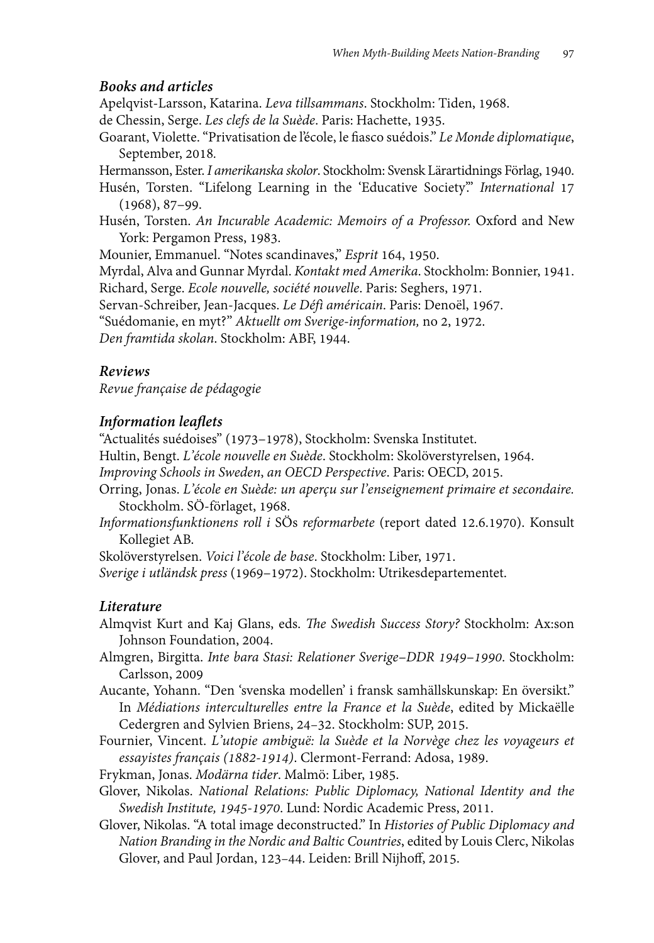#### *Books and articles*

Apelqvist-Larsson, Katarina. *Leva tillsammans*. Stockholm: Tiden, 1968.

de Chessin, Serge. *Les clefs de la Suède*. Paris: Hachette, 1935.

Goarant, Violette. "Privatisation de l'école, le fiasco suédois." *Le Monde diplomatique*, September, 2018*.*

Hermansson, Ester. *I amerikanska skolor*. Stockholm: Svensk Lärartidnings Förlag, 1940.

Husén, Torsten. "Lifelong Learning in the 'Educative Society'." *International* 17 (1968), 87–99.

Husén, Torsten. *An Incurable Academic: Memoirs of a Professor.* Oxford and New York: Pergamon Press, 1983.

Mounier, Emmanuel. "Notes scandinaves," *Esprit* 164, 1950.

Myrdal, Alva and Gunnar Myrdal. *Kontakt med Amerika*. Stockholm: Bonnier, 1941. Richard, Serge. *Ecole nouvelle, société nouvelle*. Paris: Seghers, 1971.

Servan-Schreiber, Jean-Jacques. *Le Défì américain*. Paris: Denoël, 1967.

"Suédomanie, en myt?" *Aktuellt om Sverige-information,* no 2, 1972.

*Den framtida skolan*. Stockholm: ABF, 1944.

### *Reviews*

*Revue française de pédagogie*

#### *Information leaflets*

"Actualités suédoises" (1973–1978), Stockholm: Svenska Institutet.

Hultin, Bengt. *L'école nouvelle en Suède*. Stockholm: Skolöverstyrelsen, 1964.

*Improving Schools in Sweden*, *an OECD Perspective*. Paris: OECD, 2015.

- Orring, Jonas. *L'école en Suède: un aperçu sur l'enseignement primaire et secondaire.* Stockholm. SÖ-förlaget, 1968.
- *Informationsfunktionens roll i* SÖs *reformarbete* (report dated 12.6.1970). Konsult Kollegiet AB.

Skolöverstyrelsen. *Voici l'école de base*. Stockholm: Liber, 1971.

*Sverige i utländsk press* (1969–1972). Stockholm: Utrikesdepartementet.

#### *Literature*

- Almqvist Kurt and Kaj Glans, eds. *The Swedish Success Story?* Stockholm: Ax:son Johnson Foundation, 2004.
- Almgren, Birgitta. *Inte bara Stasi: Relationer Sverige–DDR 1949–1990*. Stockholm: Carlsson, 2009
- Aucante, Yohann. "Den 'svenska modellen' i fransk samhällskunskap: En översikt." In *Médiations interculturelles entre la France et la Suède*, edited by Mickaëlle Cedergren and Sylvien Briens, 24–32. Stockholm: SUP, 2015.
- Fournier, Vincent. *L'utopie ambiguë: la Suède et la Norvège chez les voyageurs et essayistes français (1882-1914)*. Clermont-Ferrand: Adosa, 1989.
- Frykman, Jonas. *Modärna tider*. Malmö: Liber, 1985.
- Glover, Nikolas. *National Relations: Public Diplomacy, National Identity and the Swedish Institute, 1945-1970*. Lund: Nordic Academic Press, 2011.
- Glover, Nikolas. "A total image deconstructed." In *Histories of Public Diplomacy and Nation Branding in the Nordic and Baltic Countries*, edited by Louis Clerc, Nikolas Glover, and Paul Jordan, 123–44. Leiden: Brill Nijhoff, 2015.